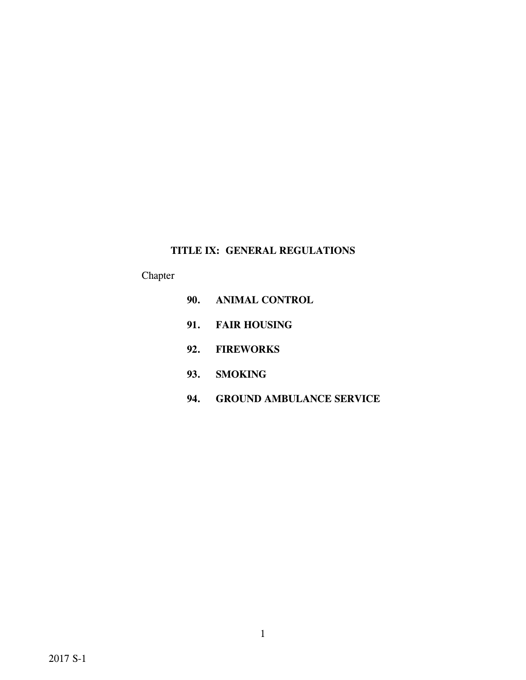# **TITLE IX: GENERAL REGULATIONS**

# Chapter

- **90. ANIMAL CONTROL**
- **91. FAIR HOUSING**
- **92. FIREWORKS**
- **93. SMOKING**
- **94. GROUND AMBULANCE SERVICE**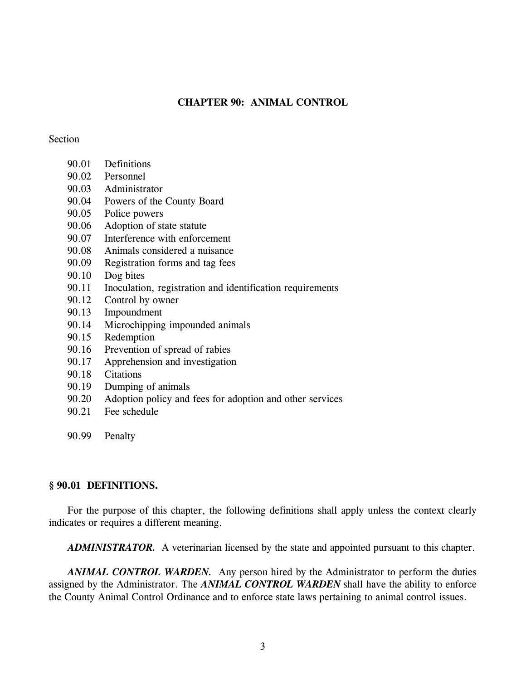### **CHAPTER 90: ANIMAL CONTROL**

#### Section

- 90.01 Definitions
- 90.02 Personnel
- 90.03 Administrator
- 90.04 Powers of the County Board
- 90.05 Police powers
- 90.06 Adoption of state statute
- 90.07 Interference with enforcement
- 90.08 Animals considered a nuisance
- 90.09 Registration forms and tag fees
- 90.10 Dog bites
- 90.11 Inoculation, registration and identification requirements
- 90.12 Control by owner
- 90.13 Impoundment
- 90.14 Microchipping impounded animals
- 90.15 Redemption
- 90.16 Prevention of spread of rabies
- 90.17 Apprehension and investigation
- 90.18 Citations
- 90.19 Dumping of animals
- 90.20 Adoption policy and fees for adoption and other services
- 90.21 Fee schedule
- 90.99 Penalty

#### **§ 90.01 DEFINITIONS.**

For the purpose of this chapter, the following definitions shall apply unless the context clearly indicates or requires a different meaning.

*ADMINISTRATOR.* A veterinarian licensed by the state and appointed pursuant to this chapter.

*ANIMAL CONTROL WARDEN.* Any person hired by the Administrator to perform the duties assigned by the Administrator. The *ANIMAL CONTROL WARDEN* shall have the ability to enforce the County Animal Control Ordinance and to enforce state laws pertaining to animal control issues.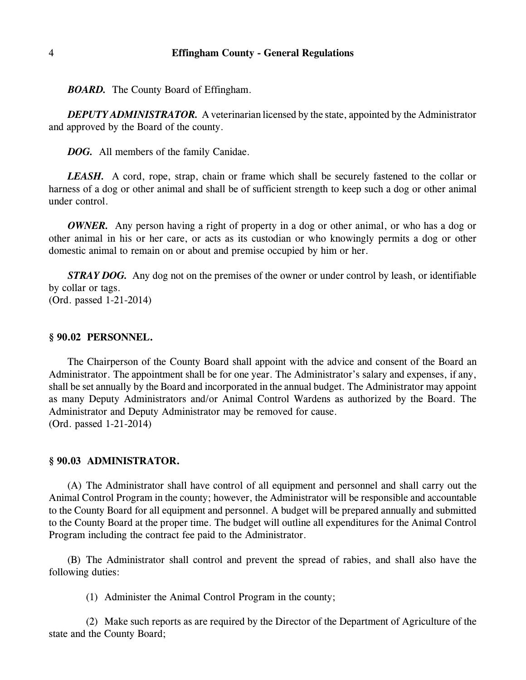*BOARD.* The County Board of Effingham.

*DEPUTY ADMINISTRATOR.* A veterinarian licensed by the state, appointed by the Administrator and approved by the Board of the county.

*DOG.* All members of the family Canidae.

*LEASH.* A cord, rope, strap, chain or frame which shall be securely fastened to the collar or harness of a dog or other animal and shall be of sufficient strength to keep such a dog or other animal under control.

*OWNER.* Any person having a right of property in a dog or other animal, or who has a dog or other animal in his or her care, or acts as its custodian or who knowingly permits a dog or other domestic animal to remain on or about and premise occupied by him or her.

*STRAY DOG.* Any dog not on the premises of the owner or under control by leash, or identifiable by collar or tags. (Ord. passed 1-21-2014)

#### **§ 90.02 PERSONNEL.**

The Chairperson of the County Board shall appoint with the advice and consent of the Board an Administrator. The appointment shall be for one year. The Administrator's salary and expenses, if any, shall be set annually by the Board and incorporated in the annual budget. The Administrator may appoint as many Deputy Administrators and/or Animal Control Wardens as authorized by the Board. The Administrator and Deputy Administrator may be removed for cause. (Ord. passed 1-21-2014)

#### **§ 90.03 ADMINISTRATOR.**

(A) The Administrator shall have control of all equipment and personnel and shall carry out the Animal Control Program in the county; however, the Administrator will be responsible and accountable to the County Board for all equipment and personnel. A budget will be prepared annually and submitted to the County Board at the proper time. The budget will outline all expenditures for the Animal Control Program including the contract fee paid to the Administrator.

(B) The Administrator shall control and prevent the spread of rabies, and shall also have the following duties:

(1) Administer the Animal Control Program in the county;

(2) Make such reports as are required by the Director of the Department of Agriculture of the state and the County Board;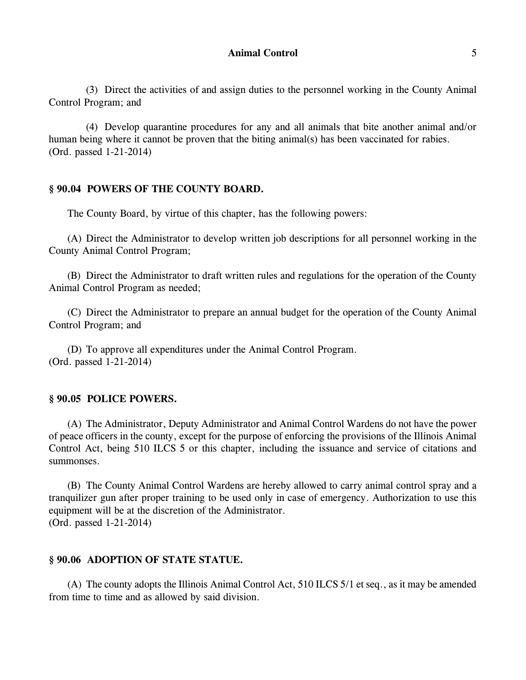(3) Direct the activities of and assign duties to the personnel working in the County Animal Control Program; and

(4) Develop quarantine procedures for any and all animals that bite another animal and/or human being where it cannot be proven that the biting animal(s) has been vaccinated for rabies. (Ord. passed 1-21-2014)

### **§ 90.04 POWERS OF THE COUNTY BOARD.**

The County Board, by virtue of this chapter, has the following powers:

(A) Direct the Administrator to develop written job descriptions for all personnel working in the County Animal Control Program;

(B) Direct the Administrator to draft written rules and regulations for the operation of the County Animal Control Program as needed;

(C) Direct the Administrator to prepare an annual budget for the operation of the County Animal Control Program; and

(D) To approve all expenditures under the Animal Control Program. (Ord. passed 1-21-2014)

#### **§ 90.05 POLICE POWERS.**

(A) The Administrator, Deputy Administrator and Animal Control Wardens do not have the power of peace officers in the county, except for the purpose of enforcing the provisions of the Illinois Animal Control Act, being 510 ILCS 5 or this chapter, including the issuance and service of citations and summonses.

(B) The County Animal Control Wardens are hereby allowed to carry animal control spray and a tranquilizer gun after proper training to be used only in case of emergency. Authorization to use this equipment will be at the discretion of the Administrator. (Ord. passed 1-21-2014)

#### **§ 90.06 ADOPTION OF STATE STATUE.**

(A) The county adopts the Illinois Animal Control Act, 510 ILCS 5/1 et seq., as it may be amended from time to time and as allowed by said division.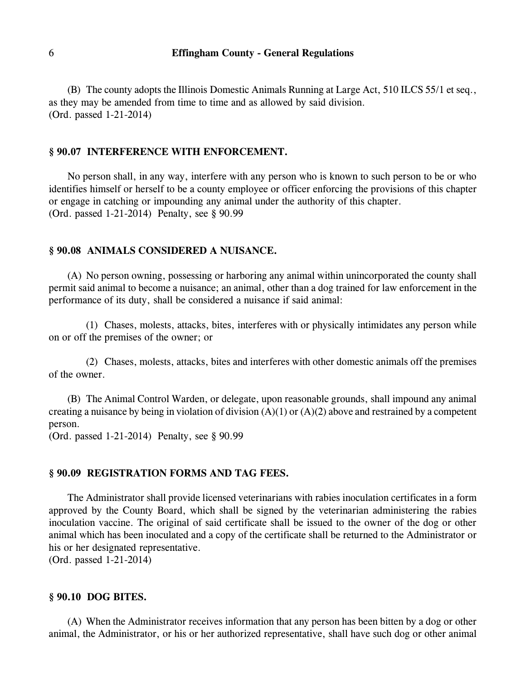(B) The county adopts the Illinois Domestic Animals Running at Large Act, 510 ILCS 55/1 et seq., as they may be amended from time to time and as allowed by said division. (Ord. passed 1-21-2014)

### **§ 90.07 INTERFERENCE WITH ENFORCEMENT.**

No person shall, in any way, interfere with any person who is known to such person to be or who identifies himself or herself to be a county employee or officer enforcing the provisions of this chapter or engage in catching or impounding any animal under the authority of this chapter. (Ord. passed 1-21-2014) Penalty, see § 90.99

### **§ 90.08 ANIMALS CONSIDERED A NUISANCE.**

(A) No person owning, possessing or harboring any animal within unincorporated the county shall permit said animal to become a nuisance; an animal, other than a dog trained for law enforcement in the performance of its duty, shall be considered a nuisance if said animal:

(1) Chases, molests, attacks, bites, interferes with or physically intimidates any person while on or off the premises of the owner; or

(2) Chases, molests, attacks, bites and interferes with other domestic animals off the premises of the owner.

(B) The Animal Control Warden, or delegate, upon reasonable grounds, shall impound any animal creating a nuisance by being in violation of division  $(A)(1)$  or  $(A)(2)$  above and restrained by a competent person.

(Ord. passed 1-21-2014) Penalty, see § 90.99

### **§ 90.09 REGISTRATION FORMS AND TAG FEES.**

The Administrator shall provide licensed veterinarians with rabies inoculation certificates in a form approved by the County Board, which shall be signed by the veterinarian administering the rabies inoculation vaccine. The original of said certificate shall be issued to the owner of the dog or other animal which has been inoculated and a copy of the certificate shall be returned to the Administrator or his or her designated representative.

(Ord. passed 1-21-2014)

#### **§ 90.10 DOG BITES.**

(A) When the Administrator receives information that any person has been bitten by a dog or other animal, the Administrator, or his or her authorized representative, shall have such dog or other animal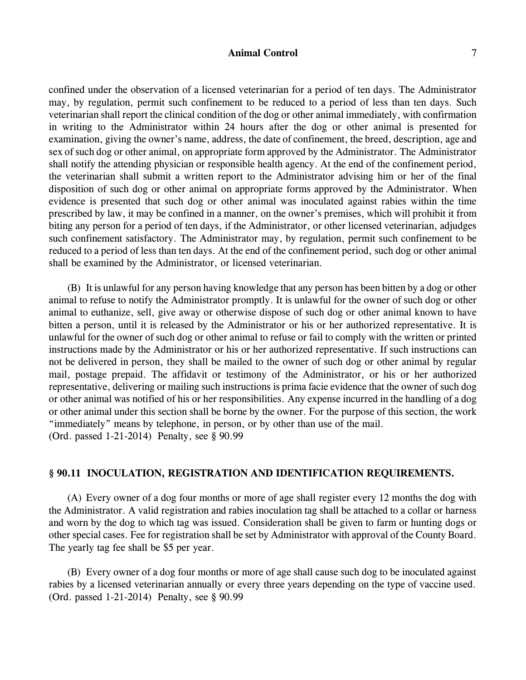### **Animal Control** 7

confined under the observation of a licensed veterinarian for a period of ten days. The Administrator may, by regulation, permit such confinement to be reduced to a period of less than ten days. Such veterinarian shall report the clinical condition of the dog or other animal immediately, with confirmation in writing to the Administrator within 24 hours after the dog or other animal is presented for examination, giving the owner's name, address, the date of confinement, the breed, description, age and sex of such dog or other animal, on appropriate form approved by the Administrator. The Administrator shall notify the attending physician or responsible health agency. At the end of the confinement period, the veterinarian shall submit a written report to the Administrator advising him or her of the final disposition of such dog or other animal on appropriate forms approved by the Administrator. When evidence is presented that such dog or other animal was inoculated against rabies within the time prescribed by law, it may be confined in a manner, on the owner's premises, which will prohibit it from biting any person for a period of ten days, if the Administrator, or other licensed veterinarian, adjudges such confinement satisfactory. The Administrator may, by regulation, permit such confinement to be reduced to a period of less than ten days. At the end of the confinement period, such dog or other animal shall be examined by the Administrator, or licensed veterinarian.

(B) It is unlawful for any person having knowledge that any person has been bitten by a dog or other animal to refuse to notify the Administrator promptly. It is unlawful for the owner of such dog or other animal to euthanize, sell, give away or otherwise dispose of such dog or other animal known to have bitten a person, until it is released by the Administrator or his or her authorized representative. It is unlawful for the owner of such dog or other animal to refuse or fail to comply with the written or printed instructions made by the Administrator or his or her authorized representative. If such instructions can not be delivered in person, they shall be mailed to the owner of such dog or other animal by regular mail, postage prepaid. The affidavit or testimony of the Administrator, or his or her authorized representative, delivering or mailing such instructions is prima facie evidence that the owner of such dog or other animal was notified of his or her responsibilities. Any expense incurred in the handling of a dog or other animal under this section shall be borne by the owner. For the purpose of this section, the work "immediately" means by telephone, in person, or by other than use of the mail. (Ord. passed 1-21-2014) Penalty, see § 90.99

### **§ 90.11 INOCULATION, REGISTRATION AND IDENTIFICATION REQUIREMENTS.**

(A) Every owner of a dog four months or more of age shall register every 12 months the dog with the Administrator. A valid registration and rabies inoculation tag shall be attached to a collar or harness and worn by the dog to which tag was issued. Consideration shall be given to farm or hunting dogs or other special cases. Fee for registration shall be set by Administrator with approval of the County Board. The yearly tag fee shall be \$5 per year.

(B) Every owner of a dog four months or more of age shall cause such dog to be inoculated against rabies by a licensed veterinarian annually or every three years depending on the type of vaccine used. (Ord. passed 1-21-2014) Penalty, see § 90.99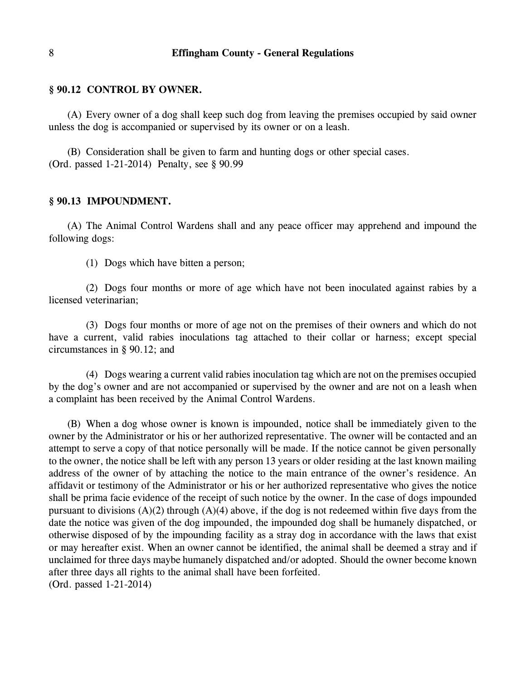### **§ 90.12 CONTROL BY OWNER.**

(A) Every owner of a dog shall keep such dog from leaving the premises occupied by said owner unless the dog is accompanied or supervised by its owner or on a leash.

(B) Consideration shall be given to farm and hunting dogs or other special cases. (Ord. passed 1-21-2014) Penalty, see § 90.99

#### **§ 90.13 IMPOUNDMENT.**

(A) The Animal Control Wardens shall and any peace officer may apprehend and impound the following dogs:

(1) Dogs which have bitten a person;

(2) Dogs four months or more of age which have not been inoculated against rabies by a licensed veterinarian;

(3) Dogs four months or more of age not on the premises of their owners and which do not have a current, valid rabies inoculations tag attached to their collar or harness; except special circumstances in § 90.12; and

(4) Dogs wearing a current valid rabies inoculation tag which are not on the premises occupied by the dog's owner and are not accompanied or supervised by the owner and are not on a leash when a complaint has been received by the Animal Control Wardens.

(B) When a dog whose owner is known is impounded, notice shall be immediately given to the owner by the Administrator or his or her authorized representative. The owner will be contacted and an attempt to serve a copy of that notice personally will be made. If the notice cannot be given personally to the owner, the notice shall be left with any person 13 years or older residing at the last known mailing address of the owner of by attaching the notice to the main entrance of the owner's residence. An affidavit or testimony of the Administrator or his or her authorized representative who gives the notice shall be prima facie evidence of the receipt of such notice by the owner. In the case of dogs impounded pursuant to divisions  $(A)(2)$  through  $(A)(4)$  above, if the dog is not redeemed within five days from the date the notice was given of the dog impounded, the impounded dog shall be humanely dispatched, or otherwise disposed of by the impounding facility as a stray dog in accordance with the laws that exist or may hereafter exist. When an owner cannot be identified, the animal shall be deemed a stray and if unclaimed for three days maybe humanely dispatched and/or adopted. Should the owner become known after three days all rights to the animal shall have been forfeited. (Ord. passed 1-21-2014)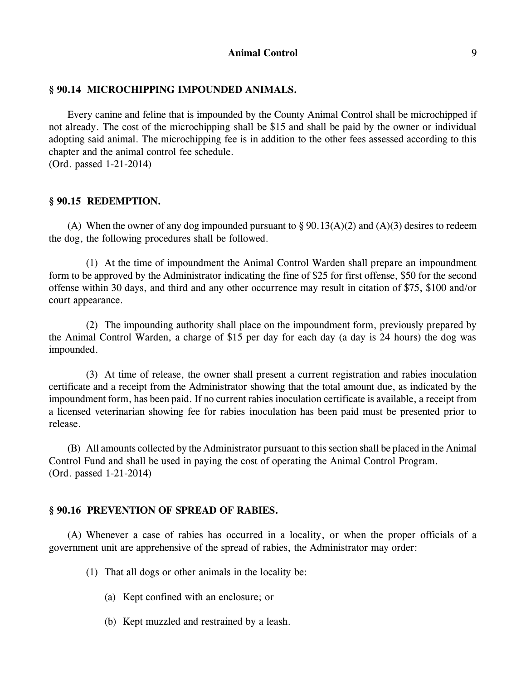### **§ 90.14 MICROCHIPPING IMPOUNDED ANIMALS.**

Every canine and feline that is impounded by the County Animal Control shall be microchipped if not already. The cost of the microchipping shall be \$15 and shall be paid by the owner or individual adopting said animal. The microchipping fee is in addition to the other fees assessed according to this chapter and the animal control fee schedule. (Ord. passed 1-21-2014)

#### **§ 90.15 REDEMPTION.**

(A) When the owner of any dog impounded pursuant to  $\S 90.13(A)(2)$  and  $(A)(3)$  desires to redeem the dog, the following procedures shall be followed.

(1) At the time of impoundment the Animal Control Warden shall prepare an impoundment form to be approved by the Administrator indicating the fine of \$25 for first offense, \$50 for the second offense within 30 days, and third and any other occurrence may result in citation of \$75, \$100 and/or court appearance.

(2) The impounding authority shall place on the impoundment form, previously prepared by the Animal Control Warden, a charge of \$15 per day for each day (a day is 24 hours) the dog was impounded.

(3) At time of release, the owner shall present a current registration and rabies inoculation certificate and a receipt from the Administrator showing that the total amount due, as indicated by the impoundment form, has been paid. If no current rabies inoculation certificate is available, a receipt from a licensed veterinarian showing fee for rabies inoculation has been paid must be presented prior to release.

(B) All amounts collected by the Administrator pursuant to this section shall be placed in the Animal Control Fund and shall be used in paying the cost of operating the Animal Control Program. (Ord. passed 1-21-2014)

### **§ 90.16 PREVENTION OF SPREAD OF RABIES.**

(A) Whenever a case of rabies has occurred in a locality, or when the proper officials of a government unit are apprehensive of the spread of rabies, the Administrator may order:

(1) That all dogs or other animals in the locality be:

- (a) Kept confined with an enclosure; or
- (b) Kept muzzled and restrained by a leash.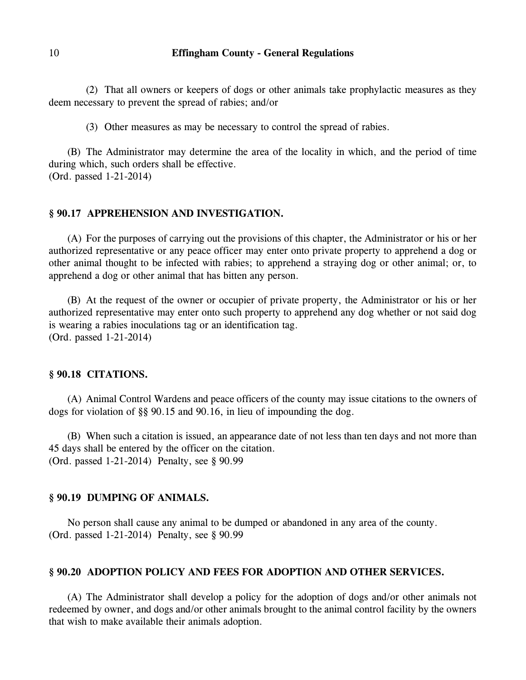(2) That all owners or keepers of dogs or other animals take prophylactic measures as they deem necessary to prevent the spread of rabies; and/or

(3) Other measures as may be necessary to control the spread of rabies.

(B) The Administrator may determine the area of the locality in which, and the period of time during which, such orders shall be effective. (Ord. passed 1-21-2014)

#### **§ 90.17 APPREHENSION AND INVESTIGATION.**

(A) For the purposes of carrying out the provisions of this chapter, the Administrator or his or her authorized representative or any peace officer may enter onto private property to apprehend a dog or other animal thought to be infected with rabies; to apprehend a straying dog or other animal; or, to apprehend a dog or other animal that has bitten any person.

(B) At the request of the owner or occupier of private property, the Administrator or his or her authorized representative may enter onto such property to apprehend any dog whether or not said dog is wearing a rabies inoculations tag or an identification tag. (Ord. passed 1-21-2014)

#### **§ 90.18 CITATIONS.**

(A) Animal Control Wardens and peace officers of the county may issue citations to the owners of dogs for violation of §§ 90.15 and 90.16, in lieu of impounding the dog.

(B) When such a citation is issued, an appearance date of not less than ten days and not more than 45 days shall be entered by the officer on the citation. (Ord. passed 1-21-2014) Penalty, see § 90.99

### **§ 90.19 DUMPING OF ANIMALS.**

No person shall cause any animal to be dumped or abandoned in any area of the county. (Ord. passed 1-21-2014) Penalty, see § 90.99

### **§ 90.20 ADOPTION POLICY AND FEES FOR ADOPTION AND OTHER SERVICES.**

(A) The Administrator shall develop a policy for the adoption of dogs and/or other animals not redeemed by owner, and dogs and/or other animals brought to the animal control facility by the owners that wish to make available their animals adoption.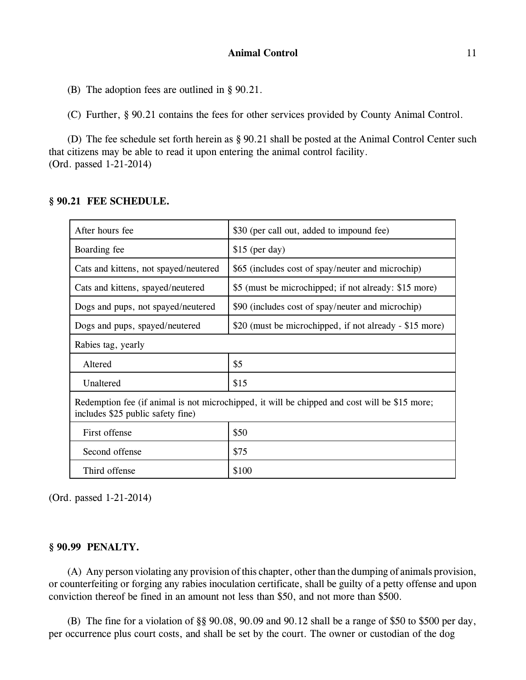(B) The adoption fees are outlined in § 90.21.

(C) Further, § 90.21 contains the fees for other services provided by County Animal Control.

(D) The fee schedule set forth herein as § 90.21 shall be posted at the Animal Control Center such that citizens may be able to read it upon entering the animal control facility. (Ord. passed 1-21-2014)

### **§ 90.21 FEE SCHEDULE.**

| After hours fee                                                                                                                    | \$30 (per call out, added to impound fee)               |
|------------------------------------------------------------------------------------------------------------------------------------|---------------------------------------------------------|
| Boarding fee                                                                                                                       | $$15$ (per day)                                         |
| Cats and kittens, not spayed/neutered                                                                                              | \$65 (includes cost of spay/neuter and microchip)       |
| Cats and kittens, spayed/neutered                                                                                                  | \$5 (must be microchipped; if not already: \$15 more)   |
| Dogs and pups, not spayed/neutered                                                                                                 | \$90 (includes cost of spay/neuter and microchip)       |
| Dogs and pups, spayed/neutered                                                                                                     | \$20 (must be microchipped, if not already - \$15 more) |
| Rabies tag, yearly                                                                                                                 |                                                         |
| Altered                                                                                                                            | \$5                                                     |
| Unaltered                                                                                                                          | \$15                                                    |
| Redemption fee (if animal is not microchipped, it will be chipped and cost will be \$15 more;<br>includes \$25 public safety fine) |                                                         |
| First offense                                                                                                                      | \$50                                                    |
| Second offense                                                                                                                     | \$75                                                    |
| Third offense                                                                                                                      | \$100                                                   |

(Ord. passed 1-21-2014)

#### **§ 90.99 PENALTY.**

(A) Any person violating any provision of this chapter, other than the dumping of animals provision, or counterfeiting or forging any rabies inoculation certificate, shall be guilty of a petty offense and upon conviction thereof be fined in an amount not less than \$50, and not more than \$500.

(B) The fine for a violation of §§ 90.08, 90.09 and 90.12 shall be a range of \$50 to \$500 per day, per occurrence plus court costs, and shall be set by the court. The owner or custodian of the dog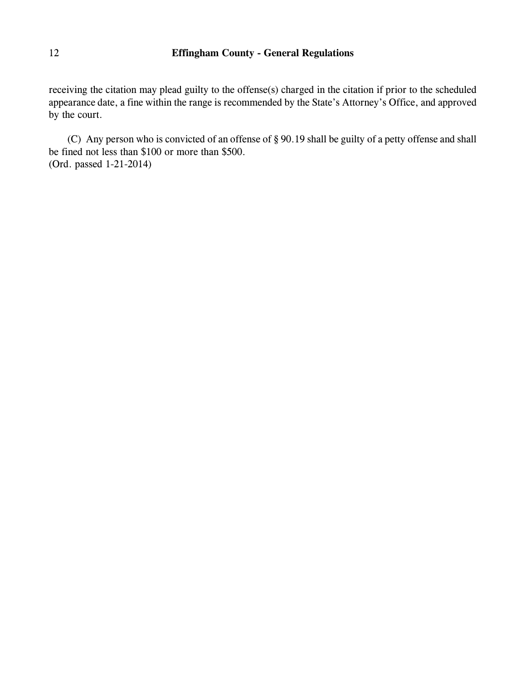receiving the citation may plead guilty to the offense(s) charged in the citation if prior to the scheduled appearance date, a fine within the range is recommended by the State's Attorney's Office, and approved by the court.

(C) Any person who is convicted of an offense of § 90.19 shall be guilty of a petty offense and shall be fined not less than \$100 or more than \$500. (Ord. passed 1-21-2014)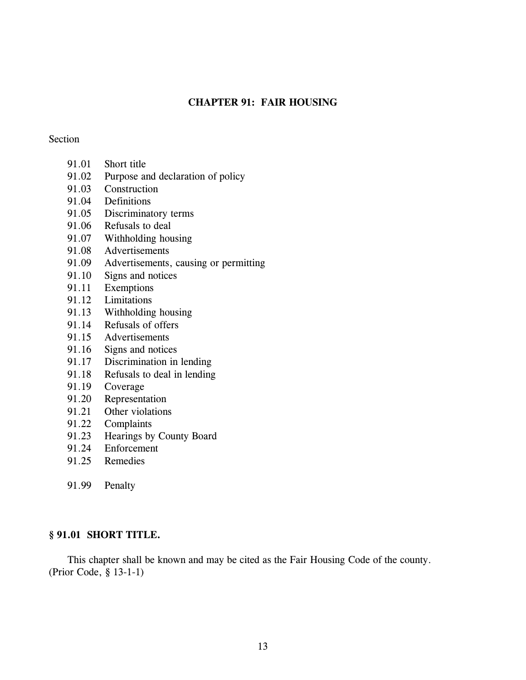# **CHAPTER 91: FAIR HOUSING**

#### Section

- 91.01 Short title
- 91.02 Purpose and declaration of policy
- 91.03 Construction
- 91.04 Definitions
- 91.05 Discriminatory terms
- 91.06 Refusals to deal
- 91.07 Withholding housing
- 91.08 Advertisements
- 91.09 Advertisements, causing or permitting
- 91.10 Signs and notices
- 91.11 Exemptions
- 91.12 Limitations
- 91.13 Withholding housing
- 91.14 Refusals of offers
- 91.15 Advertisements
- 91.16 Signs and notices
- 91.17 Discrimination in lending
- 91.18 Refusals to deal in lending
- 91.19 Coverage
- 91.20 Representation
- 91.21 Other violations
- 91.22 Complaints
- 91.23 Hearings by County Board
- 91.24 Enforcement
- 91.25 Remedies
- 91.99 Penalty

### **§ 91.01 SHORT TITLE.**

This chapter shall be known and may be cited as the Fair Housing Code of the county. (Prior Code, § 13-1-1)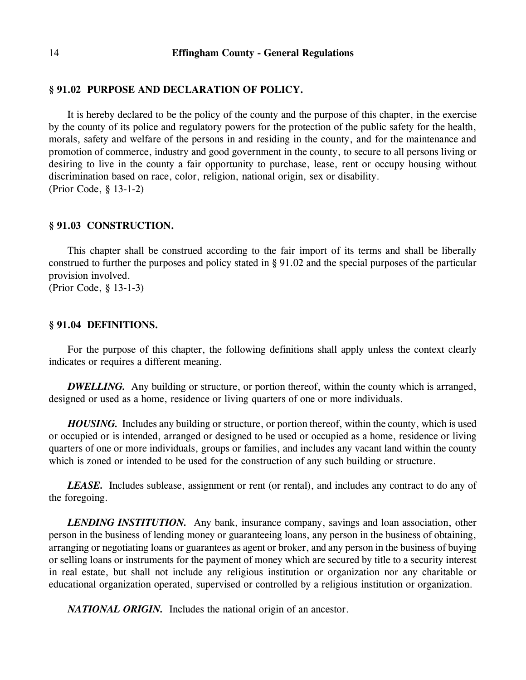### **§ 91.02 PURPOSE AND DECLARATION OF POLICY.**

It is hereby declared to be the policy of the county and the purpose of this chapter, in the exercise by the county of its police and regulatory powers for the protection of the public safety for the health, morals, safety and welfare of the persons in and residing in the county, and for the maintenance and promotion of commerce, industry and good government in the county, to secure to all persons living or desiring to live in the county a fair opportunity to purchase, lease, rent or occupy housing without discrimination based on race, color, religion, national origin, sex or disability. (Prior Code, § 13-1-2)

#### **§ 91.03 CONSTRUCTION.**

This chapter shall be construed according to the fair import of its terms and shall be liberally construed to further the purposes and policy stated in § 91.02 and the special purposes of the particular provision involved.

(Prior Code, § 13-1-3)

#### **§ 91.04 DEFINITIONS.**

For the purpose of this chapter, the following definitions shall apply unless the context clearly indicates or requires a different meaning.

**DWELLING.** Any building or structure, or portion thereof, within the county which is arranged, designed or used as a home, residence or living quarters of one or more individuals.

*HOUSING.* Includes any building or structure, or portion thereof, within the county, which is used or occupied or is intended, arranged or designed to be used or occupied as a home, residence or living quarters of one or more individuals, groups or families, and includes any vacant land within the county which is zoned or intended to be used for the construction of any such building or structure.

*LEASE.* Includes sublease, assignment or rent (or rental), and includes any contract to do any of the foregoing.

*LENDING INSTITUTION.* Any bank, insurance company, savings and loan association, other person in the business of lending money or guaranteeing loans, any person in the business of obtaining, arranging or negotiating loans or guarantees as agent or broker, and any person in the business of buying or selling loans or instruments for the payment of money which are secured by title to a security interest in real estate, but shall not include any religious institution or organization nor any charitable or educational organization operated, supervised or controlled by a religious institution or organization.

*NATIONAL ORIGIN.* Includes the national origin of an ancestor.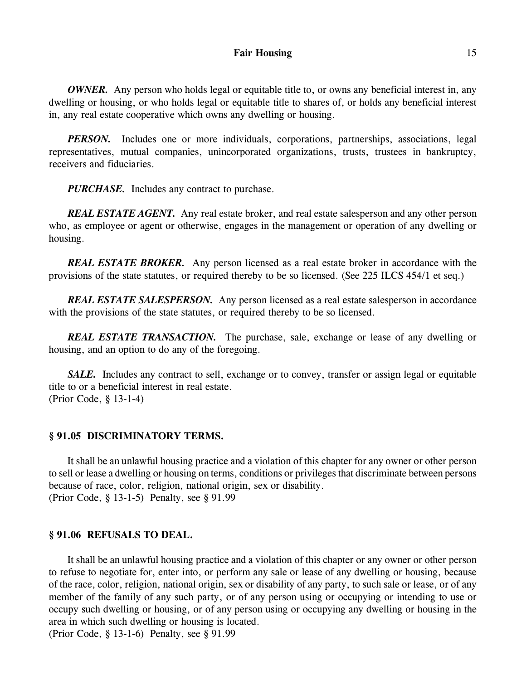#### Fair Housing 15

*OWNER.* Any person who holds legal or equitable title to, or owns any beneficial interest in, any dwelling or housing, or who holds legal or equitable title to shares of, or holds any beneficial interest in, any real estate cooperative which owns any dwelling or housing.

*PERSON*. Includes one or more individuals, corporations, partnerships, associations, legal representatives, mutual companies, unincorporated organizations, trusts, trustees in bankruptcy, receivers and fiduciaries.

*PURCHASE.* Includes any contract to purchase.

*REAL ESTATE AGENT.* Any real estate broker, and real estate salesperson and any other person who, as employee or agent or otherwise, engages in the management or operation of any dwelling or housing.

*REAL ESTATE BROKER.* Any person licensed as a real estate broker in accordance with the provisions of the state statutes, or required thereby to be so licensed. (See 225 ILCS 454/1 et seq.)

*REAL ESTATE SALESPERSON.* Any person licensed as a real estate salesperson in accordance with the provisions of the state statutes, or required thereby to be so licensed.

*REAL ESTATE TRANSACTION.* The purchase, sale, exchange or lease of any dwelling or housing, and an option to do any of the foregoing.

*SALE.* Includes any contract to sell, exchange or to convey, transfer or assign legal or equitable title to or a beneficial interest in real estate. (Prior Code, § 13-1-4)

### **§ 91.05 DISCRIMINATORY TERMS.**

It shall be an unlawful housing practice and a violation of this chapter for any owner or other person to sell or lease a dwelling or housing on terms, conditions or privileges that discriminate between persons because of race, color, religion, national origin, sex or disability. (Prior Code, § 13-1-5) Penalty, see § 91.99

#### **§ 91.06 REFUSALS TO DEAL.**

It shall be an unlawful housing practice and a violation of this chapter or any owner or other person to refuse to negotiate for, enter into, or perform any sale or lease of any dwelling or housing, because of the race, color, religion, national origin, sex or disability of any party, to such sale or lease, or of any member of the family of any such party, or of any person using or occupying or intending to use or occupy such dwelling or housing, or of any person using or occupying any dwelling or housing in the area in which such dwelling or housing is located.

(Prior Code, § 13-1-6) Penalty, see § 91.99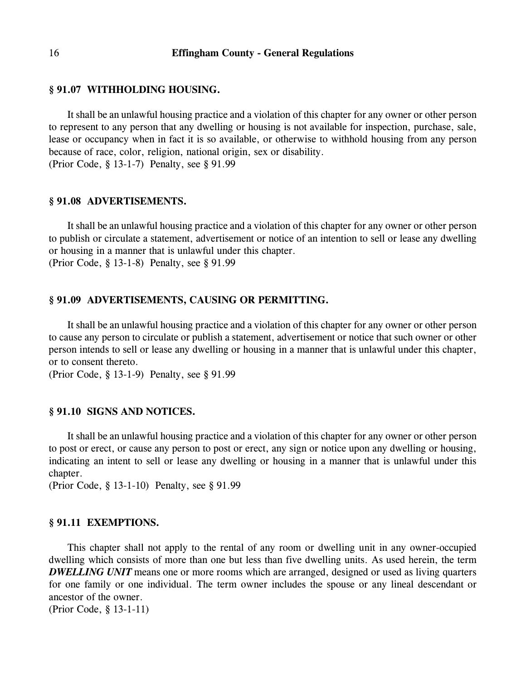#### **§ 91.07 WITHHOLDING HOUSING.**

It shall be an unlawful housing practice and a violation of this chapter for any owner or other person to represent to any person that any dwelling or housing is not available for inspection, purchase, sale, lease or occupancy when in fact it is so available, or otherwise to withhold housing from any person because of race, color, religion, national origin, sex or disability. (Prior Code, § 13-1-7) Penalty, see § 91.99

#### **§ 91.08 ADVERTISEMENTS.**

It shall be an unlawful housing practice and a violation of this chapter for any owner or other person to publish or circulate a statement, advertisement or notice of an intention to sell or lease any dwelling or housing in a manner that is unlawful under this chapter. (Prior Code, § 13-1-8) Penalty, see § 91.99

# **§ 91.09 ADVERTISEMENTS, CAUSING OR PERMITTING.**

It shall be an unlawful housing practice and a violation of this chapter for any owner or other person to cause any person to circulate or publish a statement, advertisement or notice that such owner or other person intends to sell or lease any dwelling or housing in a manner that is unlawful under this chapter, or to consent thereto.

(Prior Code, § 13-1-9) Penalty, see § 91.99

### **§ 91.10 SIGNS AND NOTICES.**

It shall be an unlawful housing practice and a violation of this chapter for any owner or other person to post or erect, or cause any person to post or erect, any sign or notice upon any dwelling or housing, indicating an intent to sell or lease any dwelling or housing in a manner that is unlawful under this chapter.

(Prior Code, § 13-1-10) Penalty, see § 91.99

#### **§ 91.11 EXEMPTIONS.**

This chapter shall not apply to the rental of any room or dwelling unit in any owner-occupied dwelling which consists of more than one but less than five dwelling units. As used herein, the term *DWELLING UNIT* means one or more rooms which are arranged, designed or used as living quarters for one family or one individual. The term owner includes the spouse or any lineal descendant or ancestor of the owner.

(Prior Code, § 13-1-11)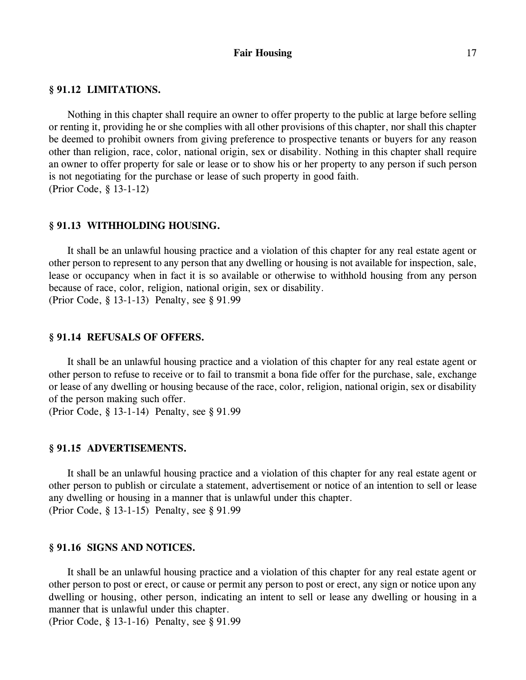#### Fair Housing 17

### **§ 91.12 LIMITATIONS.**

Nothing in this chapter shall require an owner to offer property to the public at large before selling or renting it, providing he or she complies with all other provisions of this chapter, nor shall this chapter be deemed to prohibit owners from giving preference to prospective tenants or buyers for any reason other than religion, race, color, national origin, sex or disability. Nothing in this chapter shall require an owner to offer property for sale or lease or to show his or her property to any person if such person is not negotiating for the purchase or lease of such property in good faith. (Prior Code, § 13-1-12)

#### **§ 91.13 WITHHOLDING HOUSING.**

It shall be an unlawful housing practice and a violation of this chapter for any real estate agent or other person to represent to any person that any dwelling or housing is not available for inspection, sale, lease or occupancy when in fact it is so available or otherwise to withhold housing from any person because of race, color, religion, national origin, sex or disability. (Prior Code, § 13-1-13) Penalty, see § 91.99

#### **§ 91.14 REFUSALS OF OFFERS.**

It shall be an unlawful housing practice and a violation of this chapter for any real estate agent or other person to refuse to receive or to fail to transmit a bona fide offer for the purchase, sale, exchange or lease of any dwelling or housing because of the race, color, religion, national origin, sex or disability of the person making such offer.

(Prior Code, § 13-1-14) Penalty, see § 91.99

### **§ 91.15 ADVERTISEMENTS.**

It shall be an unlawful housing practice and a violation of this chapter for any real estate agent or other person to publish or circulate a statement, advertisement or notice of an intention to sell or lease any dwelling or housing in a manner that is unlawful under this chapter. (Prior Code, § 13-1-15) Penalty, see § 91.99

#### **§ 91.16 SIGNS AND NOTICES.**

It shall be an unlawful housing practice and a violation of this chapter for any real estate agent or other person to post or erect, or cause or permit any person to post or erect, any sign or notice upon any dwelling or housing, other person, indicating an intent to sell or lease any dwelling or housing in a manner that is unlawful under this chapter.

(Prior Code, § 13-1-16) Penalty, see § 91.99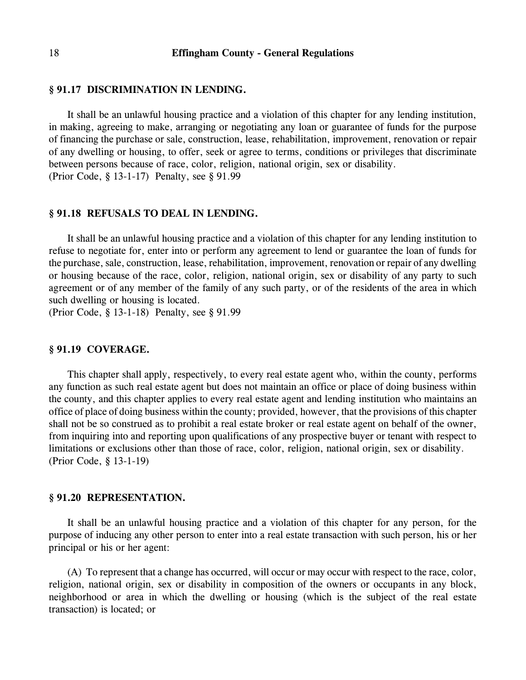### **§ 91.17 DISCRIMINATION IN LENDING.**

It shall be an unlawful housing practice and a violation of this chapter for any lending institution, in making, agreeing to make, arranging or negotiating any loan or guarantee of funds for the purpose of financing the purchase or sale, construction, lease, rehabilitation, improvement, renovation or repair of any dwelling or housing, to offer, seek or agree to terms, conditions or privileges that discriminate between persons because of race, color, religion, national origin, sex or disability. (Prior Code, § 13-1-17) Penalty, see § 91.99

#### **§ 91.18 REFUSALS TO DEAL IN LENDING.**

It shall be an unlawful housing practice and a violation of this chapter for any lending institution to refuse to negotiate for, enter into or perform any agreement to lend or guarantee the loan of funds for the purchase, sale, construction, lease, rehabilitation, improvement, renovation or repair of any dwelling or housing because of the race, color, religion, national origin, sex or disability of any party to such agreement or of any member of the family of any such party, or of the residents of the area in which such dwelling or housing is located.

(Prior Code, § 13-1-18) Penalty, see § 91.99

### **§ 91.19 COVERAGE.**

This chapter shall apply, respectively, to every real estate agent who, within the county, performs any function as such real estate agent but does not maintain an office or place of doing business within the county, and this chapter applies to every real estate agent and lending institution who maintains an office of place of doing business within the county; provided, however, that the provisions of this chapter shall not be so construed as to prohibit a real estate broker or real estate agent on behalf of the owner, from inquiring into and reporting upon qualifications of any prospective buyer or tenant with respect to limitations or exclusions other than those of race, color, religion, national origin, sex or disability. (Prior Code, § 13-1-19)

#### **§ 91.20 REPRESENTATION.**

It shall be an unlawful housing practice and a violation of this chapter for any person, for the purpose of inducing any other person to enter into a real estate transaction with such person, his or her principal or his or her agent:

(A) To represent that a change has occurred, will occur or may occur with respect to the race, color, religion, national origin, sex or disability in composition of the owners or occupants in any block, neighborhood or area in which the dwelling or housing (which is the subject of the real estate transaction) is located; or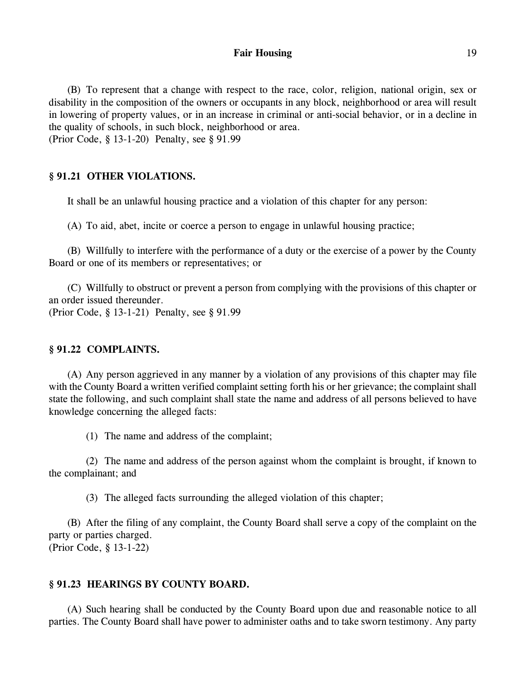#### Fair Housing 19

(B) To represent that a change with respect to the race, color, religion, national origin, sex or disability in the composition of the owners or occupants in any block, neighborhood or area will result in lowering of property values, or in an increase in criminal or anti-social behavior, or in a decline in the quality of schools, in such block, neighborhood or area. (Prior Code, § 13-1-20) Penalty, see § 91.99

### **§ 91.21 OTHER VIOLATIONS.**

It shall be an unlawful housing practice and a violation of this chapter for any person:

(A) To aid, abet, incite or coerce a person to engage in unlawful housing practice;

(B) Willfully to interfere with the performance of a duty or the exercise of a power by the County Board or one of its members or representatives; or

(C) Willfully to obstruct or prevent a person from complying with the provisions of this chapter or an order issued thereunder.

(Prior Code, § 13-1-21) Penalty, see § 91.99

### **§ 91.22 COMPLAINTS.**

(A) Any person aggrieved in any manner by a violation of any provisions of this chapter may file with the County Board a written verified complaint setting forth his or her grievance; the complaint shall state the following, and such complaint shall state the name and address of all persons believed to have knowledge concerning the alleged facts:

(1) The name and address of the complaint;

(2) The name and address of the person against whom the complaint is brought, if known to the complainant; and

(3) The alleged facts surrounding the alleged violation of this chapter;

(B) After the filing of any complaint, the County Board shall serve a copy of the complaint on the party or parties charged. (Prior Code, § 13-1-22)

### **§ 91.23 HEARINGS BY COUNTY BOARD.**

(A) Such hearing shall be conducted by the County Board upon due and reasonable notice to all parties. The County Board shall have power to administer oaths and to take sworn testimony. Any party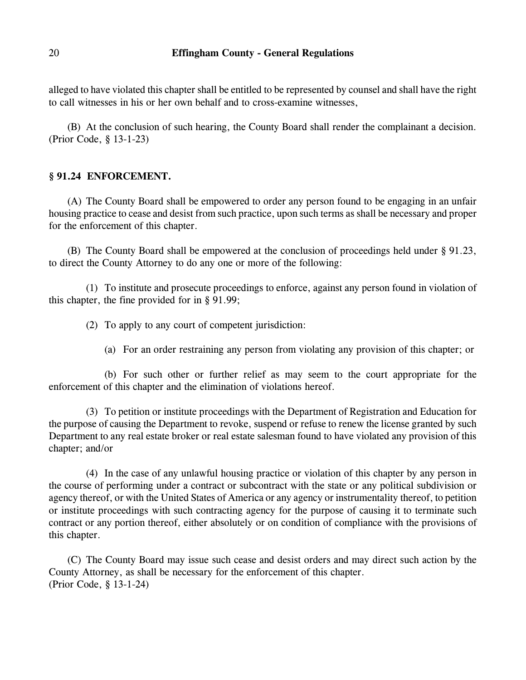alleged to have violated this chapter shall be entitled to be represented by counsel and shall have the right to call witnesses in his or her own behalf and to cross-examine witnesses,

(B) At the conclusion of such hearing, the County Board shall render the complainant a decision. (Prior Code, § 13-1-23)

# **§ 91.24 ENFORCEMENT.**

(A) The County Board shall be empowered to order any person found to be engaging in an unfair housing practice to cease and desist from such practice, upon such terms as shall be necessary and proper for the enforcement of this chapter.

(B) The County Board shall be empowered at the conclusion of proceedings held under § 91.23, to direct the County Attorney to do any one or more of the following:

(1) To institute and prosecute proceedings to enforce, against any person found in violation of this chapter, the fine provided for in § 91.99;

(2) To apply to any court of competent jurisdiction:

(a) For an order restraining any person from violating any provision of this chapter; or

(b) For such other or further relief as may seem to the court appropriate for the enforcement of this chapter and the elimination of violations hereof.

(3) To petition or institute proceedings with the Department of Registration and Education for the purpose of causing the Department to revoke, suspend or refuse to renew the license granted by such Department to any real estate broker or real estate salesman found to have violated any provision of this chapter; and/or

(4) In the case of any unlawful housing practice or violation of this chapter by any person in the course of performing under a contract or subcontract with the state or any political subdivision or agency thereof, or with the United States of America or any agency or instrumentality thereof, to petition or institute proceedings with such contracting agency for the purpose of causing it to terminate such contract or any portion thereof, either absolutely or on condition of compliance with the provisions of this chapter.

(C) The County Board may issue such cease and desist orders and may direct such action by the County Attorney, as shall be necessary for the enforcement of this chapter. (Prior Code, § 13-1-24)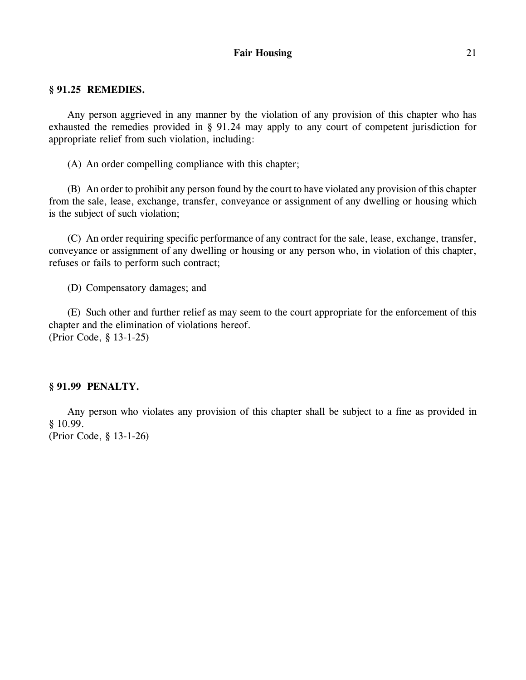### Fair Housing 21

### **§ 91.25 REMEDIES.**

Any person aggrieved in any manner by the violation of any provision of this chapter who has exhausted the remedies provided in § 91.24 may apply to any court of competent jurisdiction for appropriate relief from such violation, including:

(A) An order compelling compliance with this chapter;

(B) An order to prohibit any person found by the court to have violated any provision of this chapter from the sale, lease, exchange, transfer, conveyance or assignment of any dwelling or housing which is the subject of such violation;

(C) An order requiring specific performance of any contract for the sale, lease, exchange, transfer, conveyance or assignment of any dwelling or housing or any person who, in violation of this chapter, refuses or fails to perform such contract;

(D) Compensatory damages; and

(E) Such other and further relief as may seem to the court appropriate for the enforcement of this chapter and the elimination of violations hereof. (Prior Code, § 13-1-25)

#### **§ 91.99 PENALTY.**

Any person who violates any provision of this chapter shall be subject to a fine as provided in § 10.99.

(Prior Code, § 13-1-26)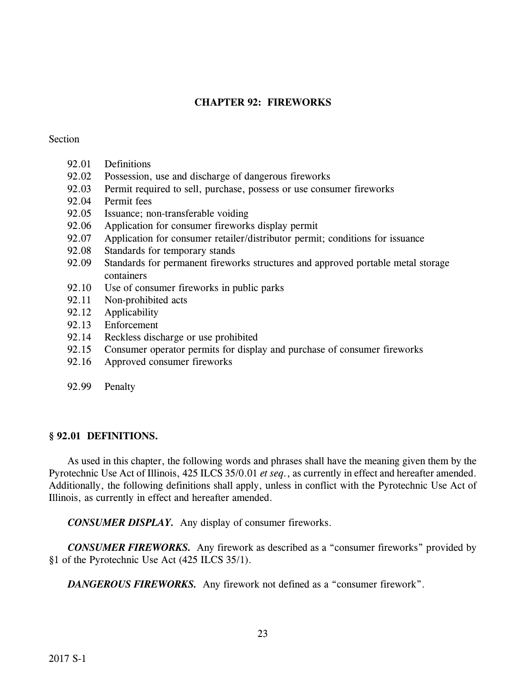# **CHAPTER 92: FIREWORKS**

### Section

- 92.01 Definitions
- 92.02 Possession, use and discharge of dangerous fireworks
- 92.03 Permit required to sell, purchase, possess or use consumer fireworks
- 92.04 Permit fees
- 92.05 Issuance; non-transferable voiding
- 92.06 Application for consumer fireworks display permit
- 92.07 Application for consumer retailer/distributor permit; conditions for issuance
- 92.08 Standards for temporary stands
- 92.09 Standards for permanent fireworks structures and approved portable metal storage containers
- 92.10 Use of consumer fireworks in public parks
- 92.11 Non-prohibited acts
- 92.12 Applicability
- 92.13 Enforcement
- 92.14 Reckless discharge or use prohibited
- 92.15 Consumer operator permits for display and purchase of consumer fireworks
- 92.16 Approved consumer fireworks
- 92.99 Penalty

### **§ 92.01 DEFINITIONS.**

As used in this chapter, the following words and phrases shall have the meaning given them by the Pyrotechnic Use Act of Illinois, 425 ILCS 35/0.01 *et seq.*, as currently in effect and hereafter amended. Additionally, the following definitions shall apply, unless in conflict with the Pyrotechnic Use Act of Illinois, as currently in effect and hereafter amended.

*CONSUMER DISPLAY.* Any display of consumer fireworks.

*CONSUMER FIREWORKS.* Any firework as described as a "consumer fireworks" provided by §1 of the Pyrotechnic Use Act (425 ILCS 35/1).

*DANGEROUS FIREWORKS.* Any firework not defined as a "consumer firework".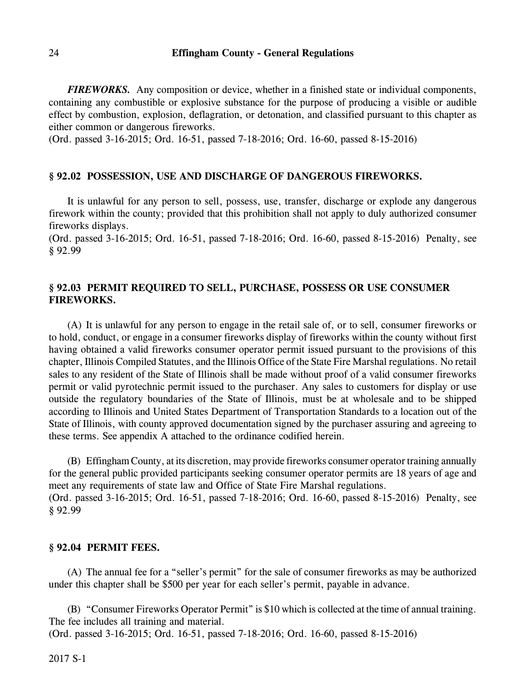*FIREWORKS.* Any composition or device, whether in a finished state or individual components, containing any combustible or explosive substance for the purpose of producing a visible or audible effect by combustion, explosion, deflagration, or detonation, and classified pursuant to this chapter as either common or dangerous fireworks.

(Ord. passed 3-16-2015; Ord. 16-51, passed 7-18-2016; Ord. 16-60, passed 8-15-2016)

### **§ 92.02 POSSESSION, USE AND DISCHARGE OF DANGEROUS FIREWORKS.**

It is unlawful for any person to sell, possess, use, transfer, discharge or explode any dangerous firework within the county; provided that this prohibition shall not apply to duly authorized consumer fireworks displays.

(Ord. passed 3-16-2015; Ord. 16-51, passed 7-18-2016; Ord. 16-60, passed 8-15-2016) Penalty, see § 92.99

# **§ 92.03 PERMIT REQUIRED TO SELL, PURCHASE, POSSESS OR USE CONSUMER FIREWORKS.**

(A) It is unlawful for any person to engage in the retail sale of, or to sell, consumer fireworks or to hold, conduct, or engage in a consumer fireworks display of fireworks within the county without first having obtained a valid fireworks consumer operator permit issued pursuant to the provisions of this chapter, Illinois Compiled Statutes, and the Illinois Office of the State Fire Marshal regulations. No retail sales to any resident of the State of Illinois shall be made without proof of a valid consumer fireworks permit or valid pyrotechnic permit issued to the purchaser. Any sales to customers for display or use outside the regulatory boundaries of the State of Illinois, must be at wholesale and to be shipped according to Illinois and United States Department of Transportation Standards to a location out of the State of Illinois, with county approved documentation signed by the purchaser assuring and agreeing to these terms. See appendix A attached to the ordinance codified herein.

(B) EffinghamCounty, at its discretion, may provide fireworks consumer operator training annually for the general public provided participants seeking consumer operator permits are 18 years of age and meet any requirements of state law and Office of State Fire Marshal regulations. (Ord. passed 3-16-2015; Ord. 16-51, passed 7-18-2016; Ord. 16-60, passed 8-15-2016) Penalty, see § 92.99

#### **§ 92.04 PERMIT FEES.**

(A) The annual fee for a "seller's permit" for the sale of consumer fireworks as may be authorized under this chapter shall be \$500 per year for each seller's permit, payable in advance.

(B) "Consumer Fireworks Operator Permit" is \$10 which is collected at the time of annual training. The fee includes all training and material.

(Ord. passed 3-16-2015; Ord. 16-51, passed 7-18-2016; Ord. 16-60, passed 8-15-2016)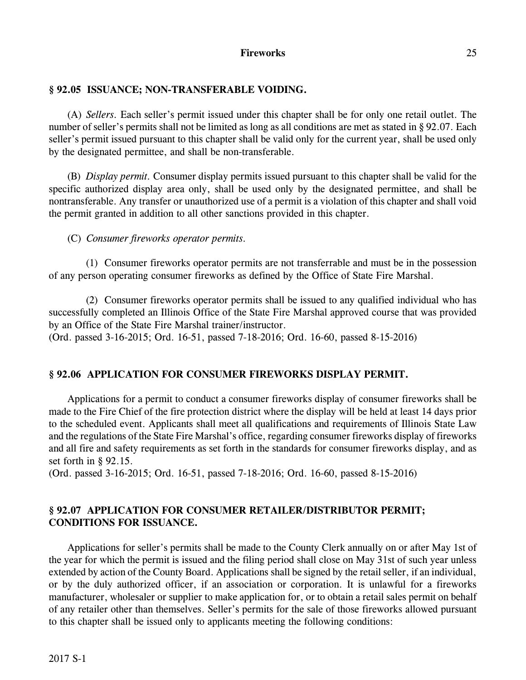### **Fireworks** 25

### **§ 92.05 ISSUANCE; NON-TRANSFERABLE VOIDING.**

(A) *Sellers.* Each seller's permit issued under this chapter shall be for only one retail outlet. The number of seller's permits shall not be limited as long as all conditions are met as stated in § 92.07. Each seller's permit issued pursuant to this chapter shall be valid only for the current year, shall be used only by the designated permittee, and shall be non-transferable.

(B) *Display permit.* Consumer display permits issued pursuant to this chapter shall be valid for the specific authorized display area only, shall be used only by the designated permittee, and shall be nontransferable. Any transfer or unauthorized use of a permit is a violation of this chapter and shall void the permit granted in addition to all other sanctions provided in this chapter.

(C) *Consumer fireworks operator permits.*

(1) Consumer fireworks operator permits are not transferrable and must be in the possession of any person operating consumer fireworks as defined by the Office of State Fire Marshal.

(2) Consumer fireworks operator permits shall be issued to any qualified individual who has successfully completed an Illinois Office of the State Fire Marshal approved course that was provided by an Office of the State Fire Marshal trainer/instructor. (Ord. passed 3-16-2015; Ord. 16-51, passed 7-18-2016; Ord. 16-60, passed 8-15-2016)

# **§ 92.06 APPLICATION FOR CONSUMER FIREWORKS DISPLAY PERMIT.**

Applications for a permit to conduct a consumer fireworks display of consumer fireworks shall be made to the Fire Chief of the fire protection district where the display will be held at least 14 days prior to the scheduled event. Applicants shall meet all qualifications and requirements of Illinois State Law and the regulations of the State Fire Marshal's office, regarding consumer fireworks display of fireworks and all fire and safety requirements as set forth in the standards for consumer fireworks display, and as set forth in § 92.15.

(Ord. passed 3-16-2015; Ord. 16-51, passed 7-18-2016; Ord. 16-60, passed 8-15-2016)

# **§ 92.07 APPLICATION FOR CONSUMER RETAILER/DISTRIBUTOR PERMIT; CONDITIONS FOR ISSUANCE.**

Applications for seller's permits shall be made to the County Clerk annually on or after May 1st of the year for which the permit is issued and the filing period shall close on May 31st of such year unless extended by action of the County Board. Applications shall be signed by the retail seller, if an individual, or by the duly authorized officer, if an association or corporation. It is unlawful for a fireworks manufacturer, wholesaler or supplier to make application for, or to obtain a retail sales permit on behalf of any retailer other than themselves. Seller's permits for the sale of those fireworks allowed pursuant to this chapter shall be issued only to applicants meeting the following conditions: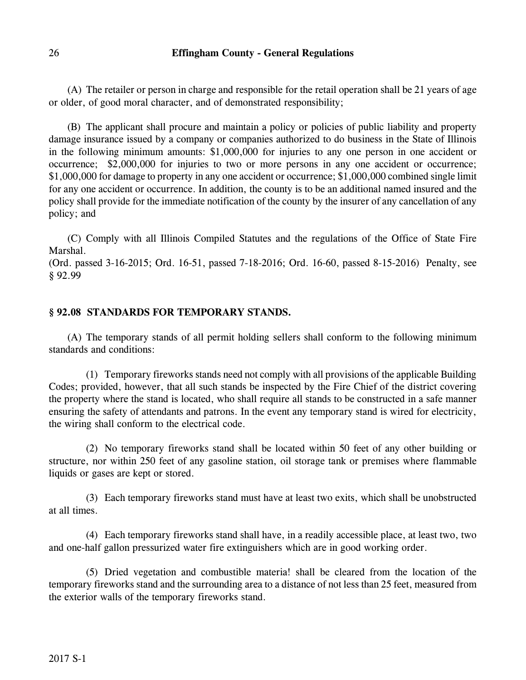(A) The retailer or person in charge and responsible for the retail operation shall be 21 years of age or older, of good moral character, and of demonstrated responsibility;

(B) The applicant shall procure and maintain a policy or policies of public liability and property damage insurance issued by a company or companies authorized to do business in the State of Illinois in the following minimum amounts: \$1,000,000 for injuries to any one person in one accident or occurrence; \$2,000,000 for injuries to two or more persons in any one accident or occurrence; \$1,000,000 for damage to property in any one accident or occurrence; \$1,000,000 combined single limit for any one accident or occurrence. In addition, the county is to be an additional named insured and the policy shall provide for the immediate notification of the county by the insurer of any cancellation of any policy; and

(C) Comply with all Illinois Compiled Statutes and the regulations of the Office of State Fire Marshal.

(Ord. passed 3-16-2015; Ord. 16-51, passed 7-18-2016; Ord. 16-60, passed 8-15-2016) Penalty, see § 92.99

### **§ 92.08 STANDARDS FOR TEMPORARY STANDS.**

(A) The temporary stands of all permit holding sellers shall conform to the following minimum standards and conditions:

(1) Temporary fireworks stands need not comply with all provisions of the applicable Building Codes; provided, however, that all such stands be inspected by the Fire Chief of the district covering the property where the stand is located, who shall require all stands to be constructed in a safe manner ensuring the safety of attendants and patrons. In the event any temporary stand is wired for electricity, the wiring shall conform to the electrical code.

(2) No temporary fireworks stand shall be located within 50 feet of any other building or structure, nor within 250 feet of any gasoline station, oil storage tank or premises where flammable liquids or gases are kept or stored.

(3) Each temporary fireworks stand must have at least two exits, which shall be unobstructed at all times.

(4) Each temporary fireworks stand shall have, in a readily accessible place, at least two, two and one-half gallon pressurized water fire extinguishers which are in good working order.

(5) Dried vegetation and combustible materia! shall be cleared from the location of the temporary fireworks stand and the surrounding area to a distance of not less than 25 feet, measured from the exterior walls of the temporary fireworks stand.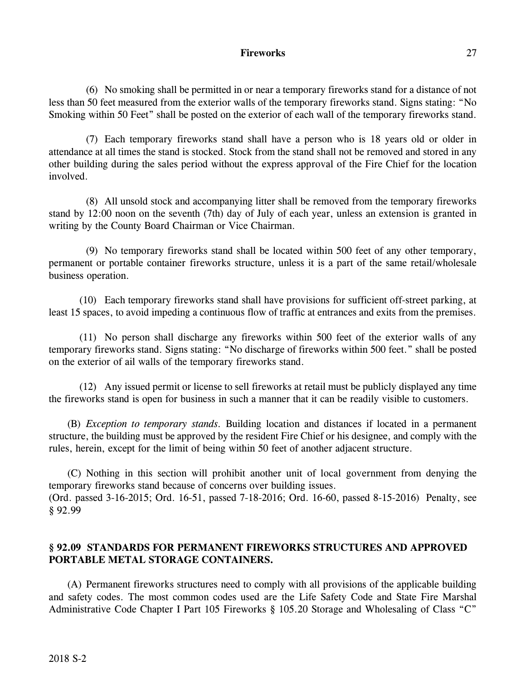### **Fireworks** 27

(6) No smoking shall be permitted in or near a temporary fireworks stand for a distance of not less than 50 feet measured from the exterior walls of the temporary fireworks stand. Signs stating: "No Smoking within 50 Feet" shall be posted on the exterior of each wall of the temporary fireworks stand.

(7) Each temporary fireworks stand shall have a person who is 18 years old or older in attendance at all times the stand is stocked. Stock from the stand shall not be removed and stored in any other building during the sales period without the express approval of the Fire Chief for the location involved.

(8) All unsold stock and accompanying litter shall be removed from the temporary fireworks stand by 12:00 noon on the seventh (7th) day of July of each year, unless an extension is granted in writing by the County Board Chairman or Vice Chairman.

(9) No temporary fireworks stand shall be located within 500 feet of any other temporary, permanent or portable container fireworks structure, unless it is a part of the same retail/wholesale business operation.

(10) Each temporary fireworks stand shall have provisions for sufficient off-street parking, at least 15 spaces, to avoid impeding a continuous flow of traffic at entrances and exits from the premises.

(11) No person shall discharge any fireworks within 500 feet of the exterior walls of any temporary fireworks stand. Signs stating: "No discharge of fireworks within 500 feet." shall be posted on the exterior of ail walls of the temporary fireworks stand.

(12) Any issued permit or license to sell fireworks at retail must be publicly displayed any time the fireworks stand is open for business in such a manner that it can be readily visible to customers.

(B) *Exception to temporary stands.* Building location and distances if located in a permanent structure, the building must be approved by the resident Fire Chief or his designee, and comply with the rules, herein, except for the limit of being within 50 feet of another adjacent structure.

(C) Nothing in this section will prohibit another unit of local government from denying the temporary fireworks stand because of concerns over building issues. (Ord. passed 3-16-2015; Ord. 16-51, passed 7-18-2016; Ord. 16-60, passed 8-15-2016) Penalty, see § 92.99

# **§ 92.09 STANDARDS FOR PERMANENT FIREWORKS STRUCTURES AND APPROVED PORTABLE METAL STORAGE CONTAINERS.**

(A) Permanent fireworks structures need to comply with all provisions of the applicable building and safety codes. The most common codes used are the Life Safety Code and State Fire Marshal Administrative Code Chapter I Part 105 Fireworks § 105.20 Storage and Wholesaling of Class "C"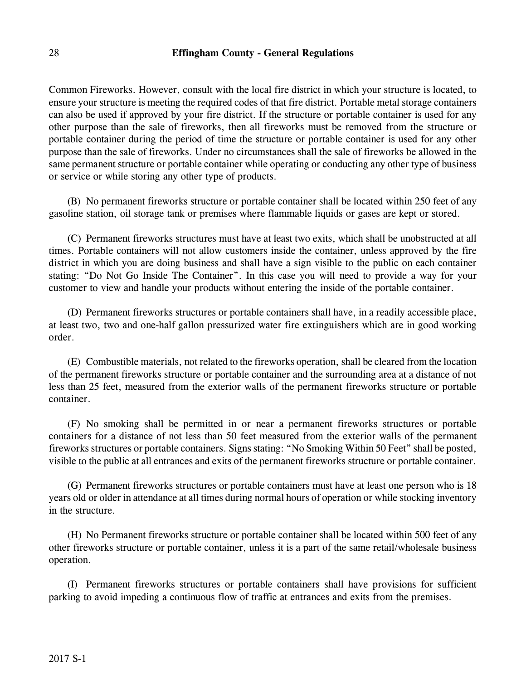Common Fireworks. However, consult with the local fire district in which your structure is located, to ensure your structure is meeting the required codes of that fire district. Portable metal storage containers can also be used if approved by your fire district. If the structure or portable container is used for any other purpose than the sale of fireworks, then all fireworks must be removed from the structure or portable container during the period of time the structure or portable container is used for any other purpose than the sale of fireworks. Under no circumstances shall the sale of fireworks be allowed in the same permanent structure or portable container while operating or conducting any other type of business or service or while storing any other type of products.

(B) No permanent fireworks structure or portable container shall be located within 250 feet of any gasoline station, oil storage tank or premises where flammable liquids or gases are kept or stored.

(C) Permanent fireworks structures must have at least two exits, which shall be unobstructed at all times. Portable containers will not allow customers inside the container, unless approved by the fire district in which you are doing business and shall have a sign visible to the public on each container stating: "Do Not Go Inside The Container". In this case you will need to provide a way for your customer to view and handle your products without entering the inside of the portable container.

(D) Permanent fireworks structures or portable containers shall have, in a readily accessible place, at least two, two and one-half gallon pressurized water fire extinguishers which are in good working order.

(E) Combustible materials, not related to the fireworks operation, shall be cleared from the location of the permanent fireworks structure or portable container and the surrounding area at a distance of not less than 25 feet, measured from the exterior walls of the permanent fireworks structure or portable container.

(F) No smoking shall be permitted in or near a permanent fireworks structures or portable containers for a distance of not less than 50 feet measured from the exterior walls of the permanent fireworks structures or portable containers. Signs stating: "No Smoking Within 50 Feet" shall be posted, visible to the public at all entrances and exits of the permanent fireworks structure or portable container.

(G) Permanent fireworks structures or portable containers must have at least one person who is 18 years old or older in attendance at all times during normal hours of operation or while stocking inventory in the structure.

(H) No Permanent fireworks structure or portable container shall be located within 500 feet of any other fireworks structure or portable container, unless it is a part of the same retail/wholesale business operation.

(I) Permanent fireworks structures or portable containers shall have provisions for sufficient parking to avoid impeding a continuous flow of traffic at entrances and exits from the premises.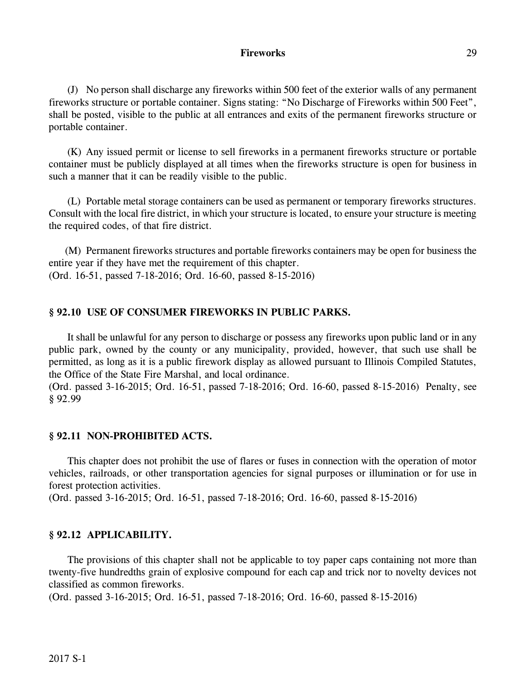### **Fireworks** 29

(J) No person shall discharge any fireworks within 500 feet of the exterior walls of any permanent fireworks structure or portable container. Signs stating: "No Discharge of Fireworks within 500 Feet", shall be posted, visible to the public at all entrances and exits of the permanent fireworks structure or portable container.

(K) Any issued permit or license to sell fireworks in a permanent fireworks structure or portable container must be publicly displayed at all times when the fireworks structure is open for business in such a manner that it can be readily visible to the public.

(L) Portable metal storage containers can be used as permanent or temporary fireworks structures. Consult with the local fire district, in which your structure is located, to ensure your structure is meeting the required codes, of that fire district.

(M) Permanent fireworks structures and portable fireworks containers may be open for business the entire year if they have met the requirement of this chapter. (Ord. 16-51, passed 7-18-2016; Ord. 16-60, passed 8-15-2016)

### **§ 92.10 USE OF CONSUMER FIREWORKS IN PUBLIC PARKS.**

It shall be unlawful for any person to discharge or possess any fireworks upon public land or in any public park, owned by the county or any municipality, provided, however, that such use shall be permitted, as long as it is a public firework display as allowed pursuant to Illinois Compiled Statutes, the Office of the State Fire Marshal, and local ordinance.

(Ord. passed 3-16-2015; Ord. 16-51, passed 7-18-2016; Ord. 16-60, passed 8-15-2016) Penalty, see § 92.99

#### **§ 92.11 NON-PROHIBITED ACTS.**

This chapter does not prohibit the use of flares or fuses in connection with the operation of motor vehicles, railroads, or other transportation agencies for signal purposes or illumination or for use in forest protection activities.

(Ord. passed 3-16-2015; Ord. 16-51, passed 7-18-2016; Ord. 16-60, passed 8-15-2016)

#### **§ 92.12 APPLICABILITY.**

The provisions of this chapter shall not be applicable to toy paper caps containing not more than twenty-five hundredths grain of explosive compound for each cap and trick nor to novelty devices not classified as common fireworks.

(Ord. passed 3-16-2015; Ord. 16-51, passed 7-18-2016; Ord. 16-60, passed 8-15-2016)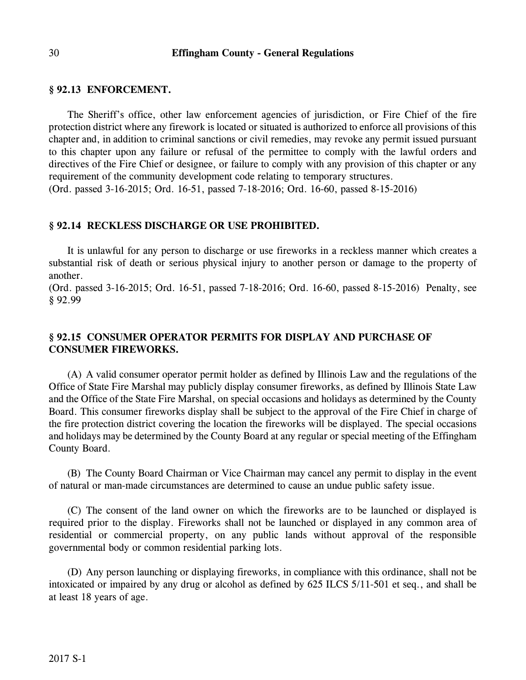### **§ 92.13 ENFORCEMENT.**

The Sheriff's office, other law enforcement agencies of jurisdiction, or Fire Chief of the fire protection district where any firework is located or situated is authorized to enforce all provisions of this chapter and, in addition to criminal sanctions or civil remedies, may revoke any permit issued pursuant to this chapter upon any failure or refusal of the permittee to comply with the lawful orders and directives of the Fire Chief or designee, or failure to comply with any provision of this chapter or any requirement of the community development code relating to temporary structures.

(Ord. passed 3-16-2015; Ord. 16-51, passed 7-18-2016; Ord. 16-60, passed 8-15-2016)

#### **§ 92.14 RECKLESS DISCHARGE OR USE PROHIBITED.**

It is unlawful for any person to discharge or use fireworks in a reckless manner which creates a substantial risk of death or serious physical injury to another person or damage to the property of another.

(Ord. passed 3-16-2015; Ord. 16-51, passed 7-18-2016; Ord. 16-60, passed 8-15-2016) Penalty, see § 92.99

# **§ 92.15 CONSUMER OPERATOR PERMITS FOR DISPLAY AND PURCHASE OF CONSUMER FIREWORKS.**

(A) A valid consumer operator permit holder as defined by Illinois Law and the regulations of the Office of State Fire Marshal may publicly display consumer fireworks, as defined by Illinois State Law and the Office of the State Fire Marshal, on special occasions and holidays as determined by the County Board. This consumer fireworks display shall be subject to the approval of the Fire Chief in charge of the fire protection district covering the location the fireworks will be displayed. The special occasions and holidays may be determined by the County Board at any regular or special meeting of the Effingham County Board.

(B) The County Board Chairman or Vice Chairman may cancel any permit to display in the event of natural or man-made circumstances are determined to cause an undue public safety issue.

(C) The consent of the land owner on which the fireworks are to be launched or displayed is required prior to the display. Fireworks shall not be launched or displayed in any common area of residential or commercial property, on any public lands without approval of the responsible governmental body or common residential parking lots.

(D) Any person launching or displaying fireworks, in compliance with this ordinance, shall not be intoxicated or impaired by any drug or alcohol as defined by 625 ILCS 5/11-501 et seq., and shall be at least 18 years of age.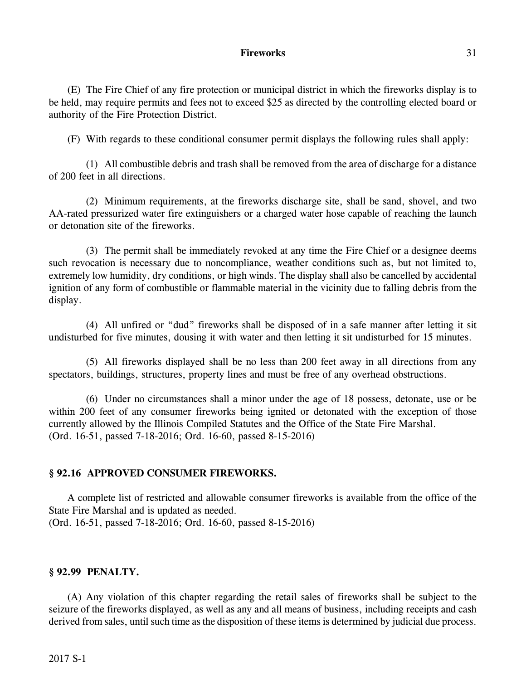### **Fireworks** 31

(E) The Fire Chief of any fire protection or municipal district in which the fireworks display is to be held, may require permits and fees not to exceed \$25 as directed by the controlling elected board or authority of the Fire Protection District.

(F) With regards to these conditional consumer permit displays the following rules shall apply:

(1) All combustible debris and trash shall be removed from the area of discharge for a distance of 200 feet in all directions.

(2) Minimum requirements, at the fireworks discharge site, shall be sand, shovel, and two AA-rated pressurized water fire extinguishers or a charged water hose capable of reaching the launch or detonation site of the fireworks.

(3) The permit shall be immediately revoked at any time the Fire Chief or a designee deems such revocation is necessary due to noncompliance, weather conditions such as, but not limited to, extremely low humidity, dry conditions, or high winds. The display shall also be cancelled by accidental ignition of any form of combustible or flammable material in the vicinity due to falling debris from the display.

(4) All unfired or "dud" fireworks shall be disposed of in a safe manner after letting it sit undisturbed for five minutes, dousing it with water and then letting it sit undisturbed for 15 minutes.

(5) All fireworks displayed shall be no less than 200 feet away in all directions from any spectators, buildings, structures, property lines and must be free of any overhead obstructions.

(6) Under no circumstances shall a minor under the age of 18 possess, detonate, use or be within 200 feet of any consumer fireworks being ignited or detonated with the exception of those currently allowed by the Illinois Compiled Statutes and the Office of the State Fire Marshal. (Ord. 16-51, passed 7-18-2016; Ord. 16-60, passed 8-15-2016)

### **§ 92.16 APPROVED CONSUMER FIREWORKS.**

A complete list of restricted and allowable consumer fireworks is available from the office of the State Fire Marshal and is updated as needed. (Ord. 16-51, passed 7-18-2016; Ord. 16-60, passed 8-15-2016)

### **§ 92.99 PENALTY.**

(A) Any violation of this chapter regarding the retail sales of fireworks shall be subject to the seizure of the fireworks displayed, as well as any and all means of business, including receipts and cash derived from sales, until such time as the disposition of these items is determined by judicial due process.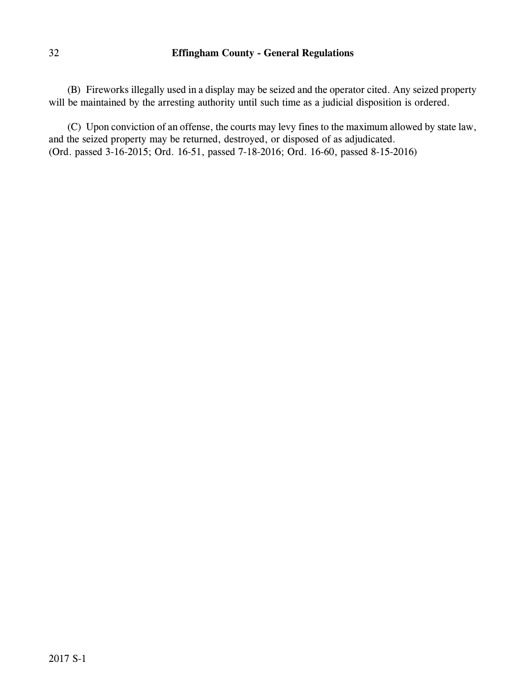(B) Fireworks illegally used in a display may be seized and the operator cited. Any seized property will be maintained by the arresting authority until such time as a judicial disposition is ordered.

(C) Upon conviction of an offense, the courts may levy fines to the maximum allowed by state law, and the seized property may be returned, destroyed, or disposed of as adjudicated. (Ord. passed 3-16-2015; Ord. 16-51, passed 7-18-2016; Ord. 16-60, passed 8-15-2016)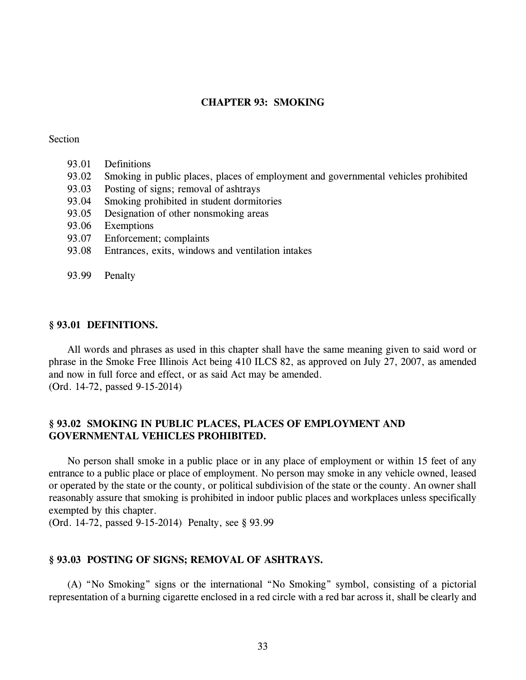#### **CHAPTER 93: SMOKING**

#### Section

- 93.01 Definitions
- 93.02 Smoking in public places, places of employment and governmental vehicles prohibited
- 93.03 Posting of signs; removal of ashtrays
- 93.04 Smoking prohibited in student dormitories
- 93.05 Designation of other nonsmoking areas
- 93.06 Exemptions
- 93.07 Enforcement; complaints
- 93.08 Entrances, exits, windows and ventilation intakes
- 93.99 Penalty

#### **§ 93.01 DEFINITIONS.**

All words and phrases as used in this chapter shall have the same meaning given to said word or phrase in the Smoke Free Illinois Act being 410 ILCS 82, as approved on July 27, 2007, as amended and now in full force and effect, or as said Act may be amended. (Ord. 14-72, passed 9-15-2014)

# **§ 93.02 SMOKING IN PUBLIC PLACES, PLACES OF EMPLOYMENT AND GOVERNMENTAL VEHICLES PROHIBITED.**

No person shall smoke in a public place or in any place of employment or within 15 feet of any entrance to a public place or place of employment. No person may smoke in any vehicle owned, leased or operated by the state or the county, or political subdivision of the state or the county. An owner shall reasonably assure that smoking is prohibited in indoor public places and workplaces unless specifically exempted by this chapter.

(Ord. 14-72, passed 9-15-2014) Penalty, see § 93.99

#### **§ 93.03 POSTING OF SIGNS; REMOVAL OF ASHTRAYS.**

(A) "No Smoking" signs or the international "No Smoking" symbol, consisting of a pictorial representation of a burning cigarette enclosed in a red circle with a red bar across it, shall be clearly and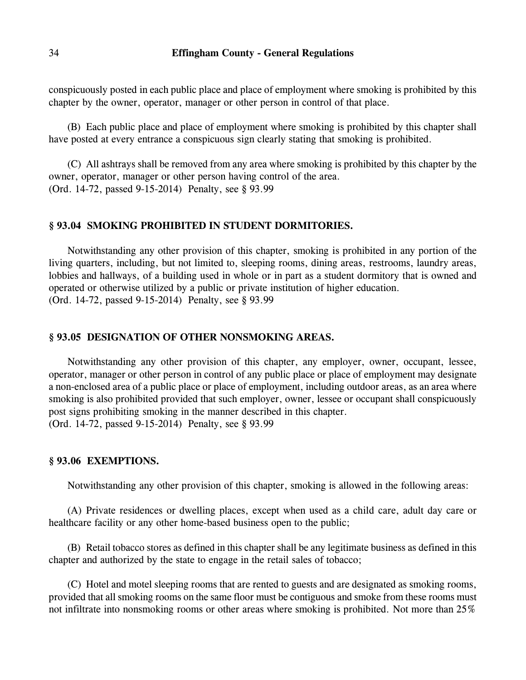conspicuously posted in each public place and place of employment where smoking is prohibited by this chapter by the owner, operator, manager or other person in control of that place.

(B) Each public place and place of employment where smoking is prohibited by this chapter shall have posted at every entrance a conspicuous sign clearly stating that smoking is prohibited.

(C) All ashtrays shall be removed from any area where smoking is prohibited by this chapter by the owner, operator, manager or other person having control of the area. (Ord. 14-72, passed 9-15-2014) Penalty, see § 93.99

#### **§ 93.04 SMOKING PROHIBITED IN STUDENT DORMITORIES.**

Notwithstanding any other provision of this chapter, smoking is prohibited in any portion of the living quarters, including, but not limited to, sleeping rooms, dining areas, restrooms, laundry areas, lobbies and hallways, of a building used in whole or in part as a student dormitory that is owned and operated or otherwise utilized by a public or private institution of higher education. (Ord. 14-72, passed 9-15-2014) Penalty, see § 93.99

### **§ 93.05 DESIGNATION OF OTHER NONSMOKING AREAS.**

Notwithstanding any other provision of this chapter, any employer, owner, occupant, lessee, operator, manager or other person in control of any public place or place of employment may designate a non-enclosed area of a public place or place of employment, including outdoor areas, as an area where smoking is also prohibited provided that such employer, owner, lessee or occupant shall conspicuously post signs prohibiting smoking in the manner described in this chapter. (Ord. 14-72, passed 9-15-2014) Penalty, see § 93.99

#### **§ 93.06 EXEMPTIONS.**

Notwithstanding any other provision of this chapter, smoking is allowed in the following areas:

(A) Private residences or dwelling places, except when used as a child care, adult day care or healthcare facility or any other home-based business open to the public;

(B) Retail tobacco stores as defined in this chapter shall be any legitimate business as defined in this chapter and authorized by the state to engage in the retail sales of tobacco;

(C) Hotel and motel sleeping rooms that are rented to guests and are designated as smoking rooms, provided that all smoking rooms on the same floor must be contiguous and smoke from these rooms must not infiltrate into nonsmoking rooms or other areas where smoking is prohibited. Not more than 25%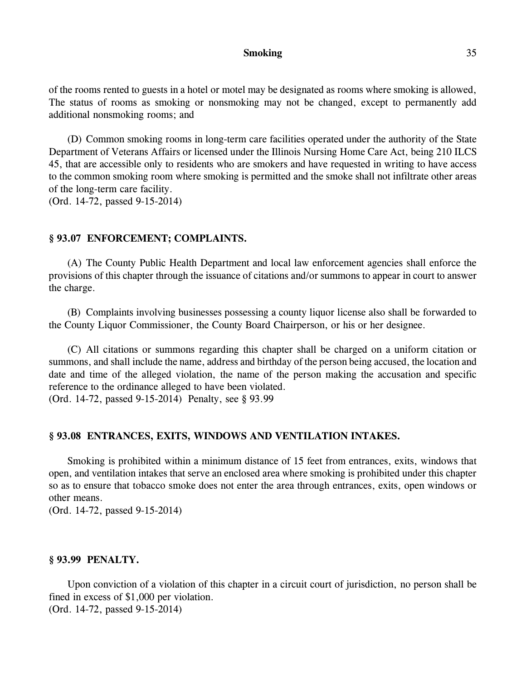#### **Smoking** 35

of the rooms rented to guests in a hotel or motel may be designated as rooms where smoking is allowed, The status of rooms as smoking or nonsmoking may not be changed, except to permanently add additional nonsmoking rooms; and

(D) Common smoking rooms in long-term care facilities operated under the authority of the State Department of Veterans Affairs or licensed under the Illinois Nursing Home Care Act, being 210 ILCS 45, that are accessible only to residents who are smokers and have requested in writing to have access to the common smoking room where smoking is permitted and the smoke shall not infiltrate other areas of the long-term care facility.

(Ord. 14-72, passed 9-15-2014)

#### **§ 93.07 ENFORCEMENT; COMPLAINTS.**

(A) The County Public Health Department and local law enforcement agencies shall enforce the provisions of this chapter through the issuance of citations and/or summons to appear in court to answer the charge.

(B) Complaints involving businesses possessing a county liquor license also shall be forwarded to the County Liquor Commissioner, the County Board Chairperson, or his or her designee.

(C) All citations or summons regarding this chapter shall be charged on a uniform citation or summons, and shall include the name, address and birthday of the person being accused, the location and date and time of the alleged violation, the name of the person making the accusation and specific reference to the ordinance alleged to have been violated.

(Ord. 14-72, passed 9-15-2014) Penalty, see § 93.99

#### **§ 93.08 ENTRANCES, EXITS, WINDOWS AND VENTILATION INTAKES.**

Smoking is prohibited within a minimum distance of 15 feet from entrances, exits, windows that open, and ventilation intakes that serve an enclosed area where smoking is prohibited under this chapter so as to ensure that tobacco smoke does not enter the area through entrances, exits, open windows or other means.

(Ord. 14-72, passed 9-15-2014)

#### **§ 93.99 PENALTY.**

Upon conviction of a violation of this chapter in a circuit court of jurisdiction, no person shall be fined in excess of \$1,000 per violation. (Ord. 14-72, passed 9-15-2014)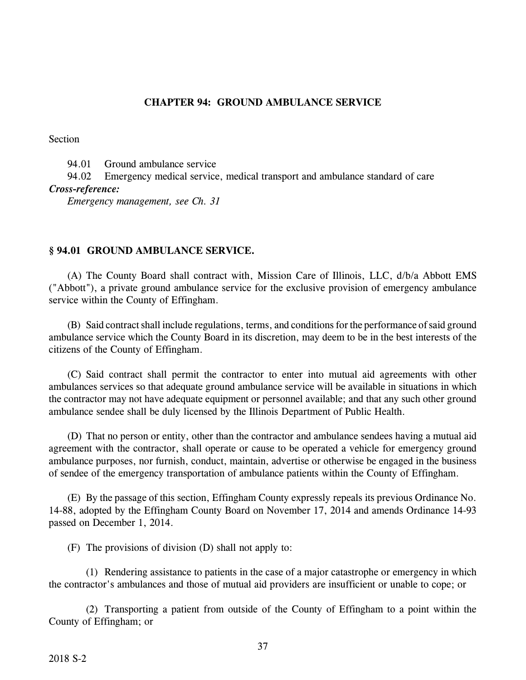### **CHAPTER 94: GROUND AMBULANCE SERVICE**

Section

94.01 Ground ambulance service

94.02 Emergency medical service, medical transport and ambulance standard of care *Cross-reference:*

*Emergency management, see Ch. 31*

### **§ 94.01 GROUND AMBULANCE SERVICE.**

(A) The County Board shall contract with, Mission Care of Illinois, LLC, d/b/a Abbott EMS ("Abbott"), a private ground ambulance service for the exclusive provision of emergency ambulance service within the County of Effingham.

(B) Said contract shall include regulations, terms, and conditions for the performance of said ground ambulance service which the County Board in its discretion, may deem to be in the best interests of the citizens of the County of Effingham.

(C) Said contract shall permit the contractor to enter into mutual aid agreements with other ambulances services so that adequate ground ambulance service will be available in situations in which the contractor may not have adequate equipment or personnel available; and that any such other ground ambulance sendee shall be duly licensed by the Illinois Department of Public Health.

(D) That no person or entity, other than the contractor and ambulance sendees having a mutual aid agreement with the contractor, shall operate or cause to be operated a vehicle for emergency ground ambulance purposes, nor furnish, conduct, maintain, advertise or otherwise be engaged in the business of sendee of the emergency transportation of ambulance patients within the County of Effingham.

(E) By the passage of this section, Effingham County expressly repeals its previous Ordinance No. 14-88, adopted by the Effingham County Board on November 17, 2014 and amends Ordinance 14-93 passed on December 1, 2014.

(F) The provisions of division (D) shall not apply to:

(1) Rendering assistance to patients in the case of a major catastrophe or emergency in which the contractor's ambulances and those of mutual aid providers are insufficient or unable to cope; or

(2) Transporting a patient from outside of the County of Effingham to a point within the County of Effingham; or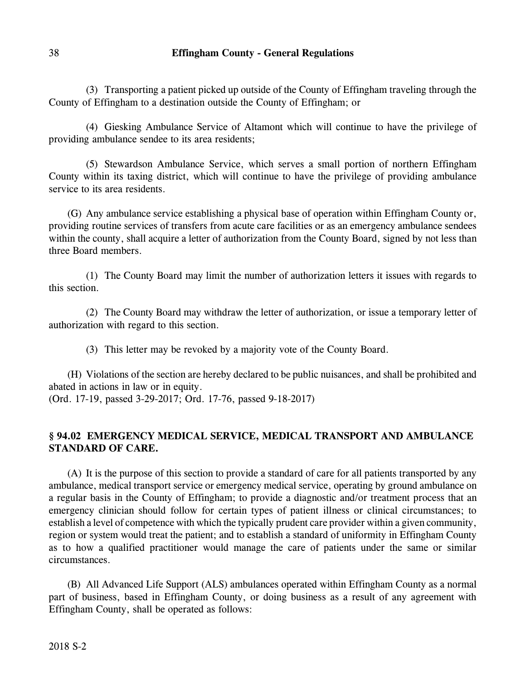(3) Transporting a patient picked up outside of the County of Effingham traveling through the County of Effingham to a destination outside the County of Effingham; or

(4) Giesking Ambulance Service of Altamont which will continue to have the privilege of providing ambulance sendee to its area residents;

(5) Stewardson Ambulance Service, which serves a small portion of northern Effingham County within its taxing district, which will continue to have the privilege of providing ambulance service to its area residents.

(G) Any ambulance service establishing a physical base of operation within Effingham County or, providing routine services of transfers from acute care facilities or as an emergency ambulance sendees within the county, shall acquire a letter of authorization from the County Board, signed by not less than three Board members.

(1) The County Board may limit the number of authorization letters it issues with regards to this section.

(2) The County Board may withdraw the letter of authorization, or issue a temporary letter of authorization with regard to this section.

(3) This letter may be revoked by a majority vote of the County Board.

(H) Violations of the section are hereby declared to be public nuisances, and shall be prohibited and abated in actions in law or in equity.

(Ord. 17-19, passed 3-29-2017; Ord. 17-76, passed 9-18-2017)

# **§ 94.02 EMERGENCY MEDICAL SERVICE, MEDICAL TRANSPORT AND AMBULANCE STANDARD OF CARE.**

(A) It is the purpose of this section to provide a standard of care for all patients transported by any ambulance, medical transport service or emergency medical service, operating by ground ambulance on a regular basis in the County of Effingham; to provide a diagnostic and/or treatment process that an emergency clinician should follow for certain types of patient illness or clinical circumstances; to establish a level of competence with which the typically prudent care provider within a given community, region or system would treat the patient; and to establish a standard of uniformity in Effingham County as to how a qualified practitioner would manage the care of patients under the same or similar circumstances.

(B) All Advanced Life Support (ALS) ambulances operated within Effingham County as a normal part of business, based in Effingham County, or doing business as a result of any agreement with Effingham County, shall be operated as follows: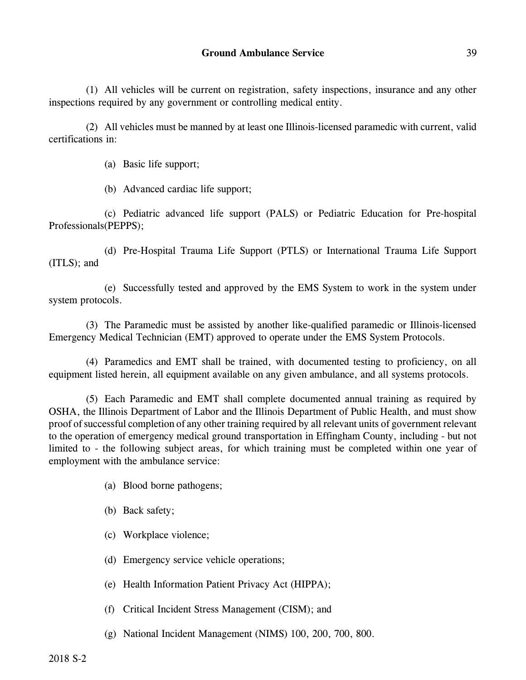(1) All vehicles will be current on registration, safety inspections, insurance and any other inspections required by any government or controlling medical entity.

(2) All vehicles must be manned by at least one Illinois-licensed paramedic with current, valid certifications in:

(a) Basic life support;

(b) Advanced cardiac life support;

(c) Pediatric advanced life support (PALS) or Pediatric Education for Pre-hospital Professionals(PEPPS);

(d) Pre-Hospital Trauma Life Support (PTLS) or International Trauma Life Support (ITLS); and

(e) Successfully tested and approved by the EMS System to work in the system under system protocols.

(3) The Paramedic must be assisted by another like-qualified paramedic or Illinois-licensed Emergency Medical Technician (EMT) approved to operate under the EMS System Protocols.

(4) Paramedics and EMT shall be trained, with documented testing to proficiency, on all equipment listed herein, all equipment available on any given ambulance, and all systems protocols.

(5) Each Paramedic and EMT shall complete documented annual training as required by OSHA, the Illinois Department of Labor and the Illinois Department of Public Health, and must show proof of successful completion of any other training required by all relevant units of government relevant to the operation of emergency medical ground transportation in Effingham County, including - but not limited to - the following subject areas, for which training must be completed within one year of employment with the ambulance service:

- (a) Blood borne pathogens;
- (b) Back safety;
- (c) Workplace violence;
- (d) Emergency service vehicle operations;
- (e) Health Information Patient Privacy Act (HIPPA);
- (f) Critical Incident Stress Management (CISM); and
- (g) National Incident Management (NIMS) 100, 200, 700, 800.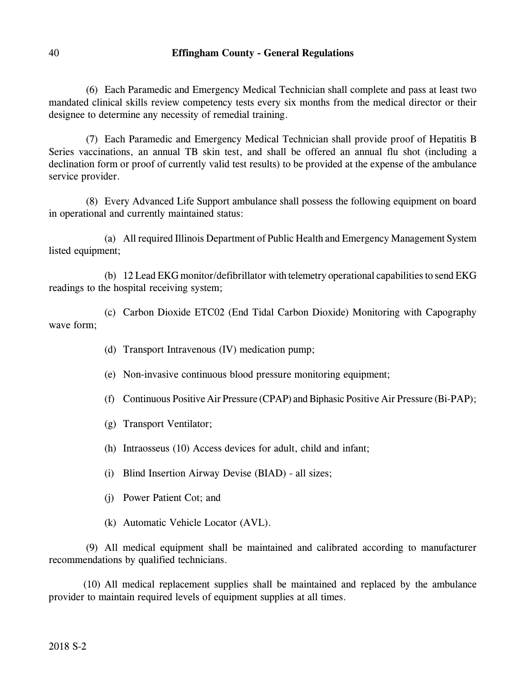(6) Each Paramedic and Emergency Medical Technician shall complete and pass at least two mandated clinical skills review competency tests every six months from the medical director or their designee to determine any necessity of remedial training.

(7) Each Paramedic and Emergency Medical Technician shall provide proof of Hepatitis B Series vaccinations, an annual TB skin test, and shall be offered an annual flu shot (including a declination form or proof of currently valid test results) to be provided at the expense of the ambulance service provider.

(8) Every Advanced Life Support ambulance shall possess the following equipment on board in operational and currently maintained status:

(a) All required Illinois Department of Public Health and Emergency Management System listed equipment;

(b) 12 Lead EKG monitor/defibrillator with telemetry operational capabilities to send EKG readings to the hospital receiving system;

(c) Carbon Dioxide ETC02 (End Tidal Carbon Dioxide) Monitoring with Capography wave form;

- (d) Transport Intravenous (IV) medication pump;
- (e) Non-invasive continuous blood pressure monitoring equipment;
- (f) Continuous Positive Air Pressure (CPAP) and Biphasic Positive Air Pressure (Bi-PAP);
- (g) Transport Ventilator;
- (h) Intraosseus (10) Access devices for adult, child and infant;
- (i) Blind Insertion Airway Devise (BIAD) all sizes;
- (j) Power Patient Cot; and
- (k) Automatic Vehicle Locator (AVL).

(9) All medical equipment shall be maintained and calibrated according to manufacturer recommendations by qualified technicians.

(10) All medical replacement supplies shall be maintained and replaced by the ambulance provider to maintain required levels of equipment supplies at all times.